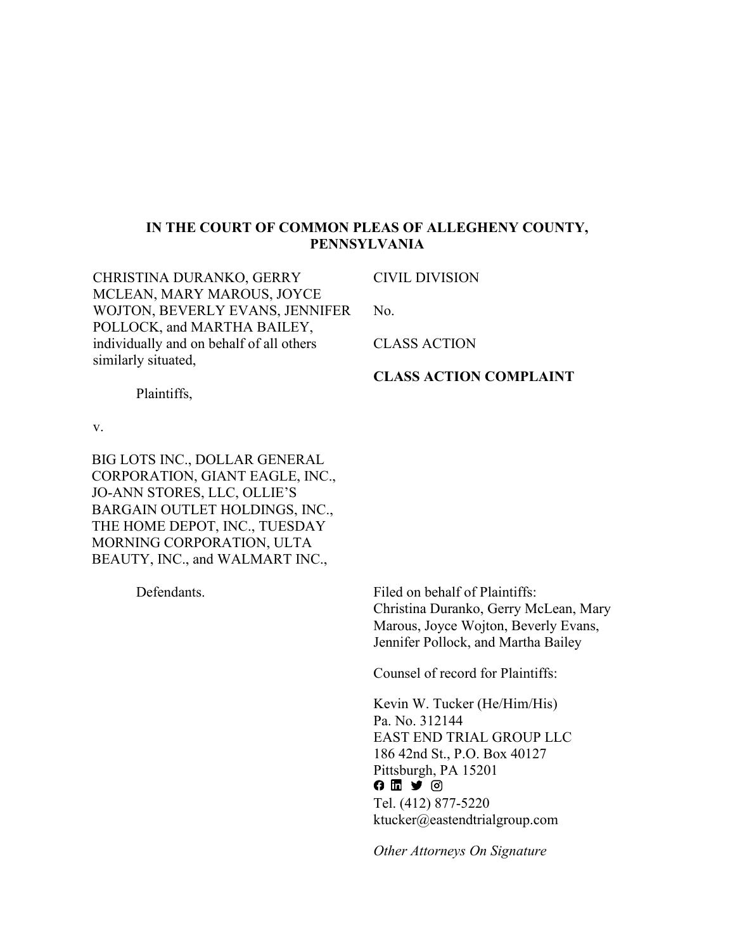## **IN THE COURT OF COMMON PLEAS OF ALLEGHENY COUNTY, PENNSYLVANIA**

CHRISTINA DURANKO, GERRY MCLEAN, MARY MAROUS, JOYCE WOJTON, BEVERLY EVANS, JENNIFER POLLOCK, and MARTHA BAILEY, individually and on behalf of all others similarly situated,

CIVIL DIVISION

No.

CLASS ACTION

## **CLASS ACTION COMPLAINT**

Plaintiffs,

v.

BIG LOTS INC., DOLLAR GENERAL CORPORATION, GIANT EAGLE, INC., JO-ANN STORES, LLC, OLLIE'S BARGAIN OUTLET HOLDINGS, INC., THE HOME DEPOT, INC., TUESDAY MORNING CORPORATION, ULTA BEAUTY, INC., and WALMART INC.,

**Defendants** 

Filed on behalf of Plaintiffs: Christina Duranko, Gerry McLean, Mary Marous, Joyce Wojton, Beverly Evans, Jennifer Pollock, and Martha Bailey

Counsel of record for Plaintiffs:

Kevin W. Tucker (He/Him/His) Pa. No. 312144 EAST END TRIAL GROUP LLC 186 42nd St., P.O. Box 40127 Pittsburgh, PA 15201  $0 1 2 0$ Tel. (412) 877-5220 ktucker@eastendtrialgroup.com

*Other Attorneys On Signature*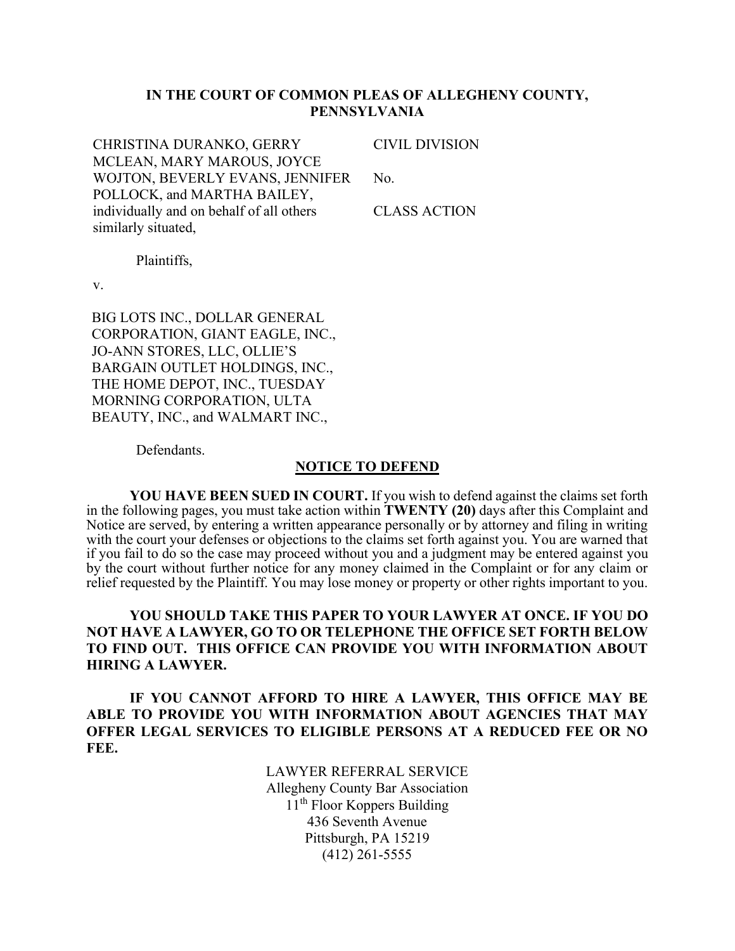## **IN THE COURT OF COMMON PLEAS OF ALLEGHENY COUNTY, PENNSYLVANIA**

CHRISTINA DURANKO, GERRY MCLEAN, MARY MAROUS, JOYCE WOJTON, BEVERLY EVANS, JENNIFER POLLOCK, and MARTHA BAILEY, individually and on behalf of all others similarly situated,

CIVIL DIVISION

No.

CLASS ACTION

Plaintiffs,

v.

BIG LOTS INC., DOLLAR GENERAL CORPORATION, GIANT EAGLE, INC., JO-ANN STORES, LLC, OLLIE'S BARGAIN OUTLET HOLDINGS, INC., THE HOME DEPOT, INC., TUESDAY MORNING CORPORATION, ULTA BEAUTY, INC., and WALMART INC.,

Defendants.

#### **NOTICE TO DEFEND**

**YOU HAVE BEEN SUED IN COURT.** If you wish to defend against the claims set forth in the following pages, you must take action within **TWENTY (20)** days after this Complaint and Notice are served, by entering a written appearance personally or by attorney and filing in writing with the court your defenses or objections to the claims set forth against you. You are warned that if you fail to do so the case may proceed without you and a judgment may be entered against you by the court without further notice for any money claimed in the Complaint or for any claim or relief requested by the Plaintiff. You may lose money or property or other rights important to you.

## **YOU SHOULD TAKE THIS PAPER TO YOUR LAWYER AT ONCE. IF YOU DO NOT HAVE A LAWYER, GO TO OR TELEPHONE THE OFFICE SET FORTH BELOW TO FIND OUT. THIS OFFICE CAN PROVIDE YOU WITH INFORMATION ABOUT HIRING A LAWYER.**

**IF YOU CANNOT AFFORD TO HIRE A LAWYER, THIS OFFICE MAY BE ABLE TO PROVIDE YOU WITH INFORMATION ABOUT AGENCIES THAT MAY OFFER LEGAL SERVICES TO ELIGIBLE PERSONS AT A REDUCED FEE OR NO FEE.**

> LAWYER REFERRAL SERVICE Allegheny County Bar Association 11<sup>th</sup> Floor Koppers Building 436 Seventh Avenue Pittsburgh, PA 15219 (412) 261-5555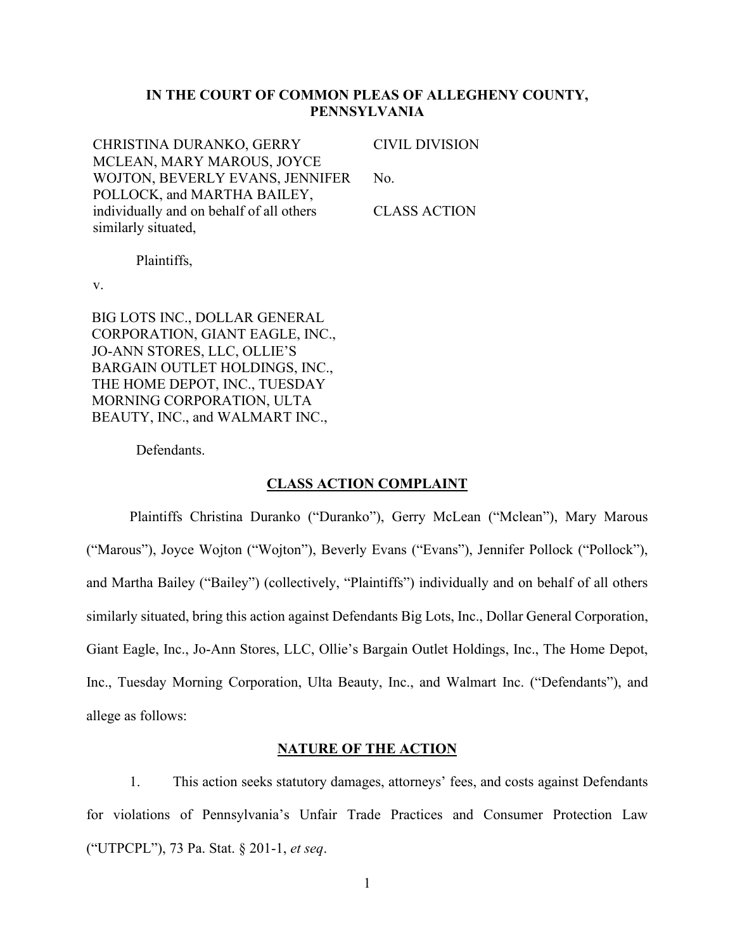## **IN THE COURT OF COMMON PLEAS OF ALLEGHENY COUNTY, PENNSYLVANIA**

CHRISTINA DURANKO, GERRY MCLEAN, MARY MAROUS, JOYCE WOJTON, BEVERLY EVANS, JENNIFER POLLOCK, and MARTHA BAILEY, individually and on behalf of all others similarly situated,

CIVIL DIVISION

No.

CLASS ACTION

Plaintiffs,

v.

BIG LOTS INC., DOLLAR GENERAL CORPORATION, GIANT EAGLE, INC., JO-ANN STORES, LLC, OLLIE'S BARGAIN OUTLET HOLDINGS, INC., THE HOME DEPOT, INC., TUESDAY MORNING CORPORATION, ULTA BEAUTY, INC., and WALMART INC.,

Defendants.

#### **CLASS ACTION COMPLAINT**

Plaintiffs Christina Duranko ("Duranko"), Gerry McLean ("Mclean"), Mary Marous ("Marous"), Joyce Wojton ("Wojton"), Beverly Evans ("Evans"), Jennifer Pollock ("Pollock"), and Martha Bailey ("Bailey") (collectively, "Plaintiffs") individually and on behalf of all others similarly situated, bring this action against Defendants Big Lots, Inc., Dollar General Corporation, Giant Eagle, Inc., Jo-Ann Stores, LLC, Ollie's Bargain Outlet Holdings, Inc., The Home Depot, Inc., Tuesday Morning Corporation, Ulta Beauty, Inc., and Walmart Inc. ("Defendants"), and allege as follows:

#### **NATURE OF THE ACTION**

1. This action seeks statutory damages, attorneys' fees, and costs against Defendants for violations of Pennsylvania's Unfair Trade Practices and Consumer Protection Law (³UTPCPL´), 73 Pa. Stat. § 201-1, *et seq*.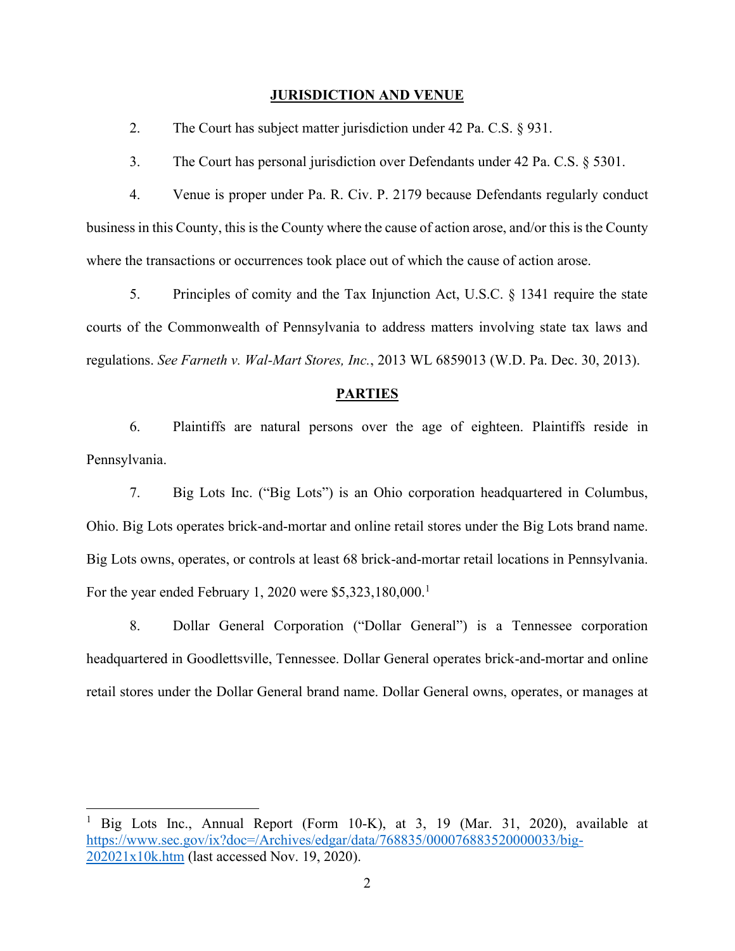#### **JURISDICTION AND VENUE**

2. The Court has subject matter jurisdiction under 42 Pa. C.S. § 931.

3. The Court has personal jurisdiction over Defendants under 42 Pa. C.S. § 5301.

4. Venue is proper under Pa. R. Civ. P. 2179 because Defendants regularly conduct business in this County, this is the County where the cause of action arose, and/or this is the County where the transactions or occurrences took place out of which the cause of action arose.

5. Principles of comity and the Tax Injunction Act, U.S.C. § 1341 require the state courts of the Commonwealth of Pennsylvania to address matters involving state tax laws and regulations. *See Farneth v. Wal-Mart Stores, Inc.*, 2013 WL 6859013 (W.D. Pa. Dec. 30, 2013).

#### **PARTIES**

6. Plaintiffs are natural persons over the age of eighteen. Plaintiffs reside in Pennsylvania.

7. Big Lots Inc. ("Big Lots") is an Ohio corporation headquartered in Columbus, Ohio. Big Lots operates brick-and-mortar and online retail stores under the Big Lots brand name. Big Lots owns, operates, or controls at least 68 brick-and-mortar retail locations in Pennsylvania. For the year ended February 1, 2020 were  $$5,323,180,000.<sup>1</sup>$ 

8. Dollar General Corporation ("Dollar General") is a Tennessee corporation headquartered in Goodlettsville, Tennessee. Dollar General operates brick-and-mortar and online retail stores under the Dollar General brand name. Dollar General owns, operates, or manages at

<sup>&</sup>lt;sup>1</sup> Big Lots Inc., Annual Report (Form 10-K), at 3, 19 (Mar. 31, 2020), available at https://www.sec.gov/ix?doc=/Archives/edgar/data/768835/000076883520000033/big-202021x10k.htm (last accessed Nov. 19, 2020).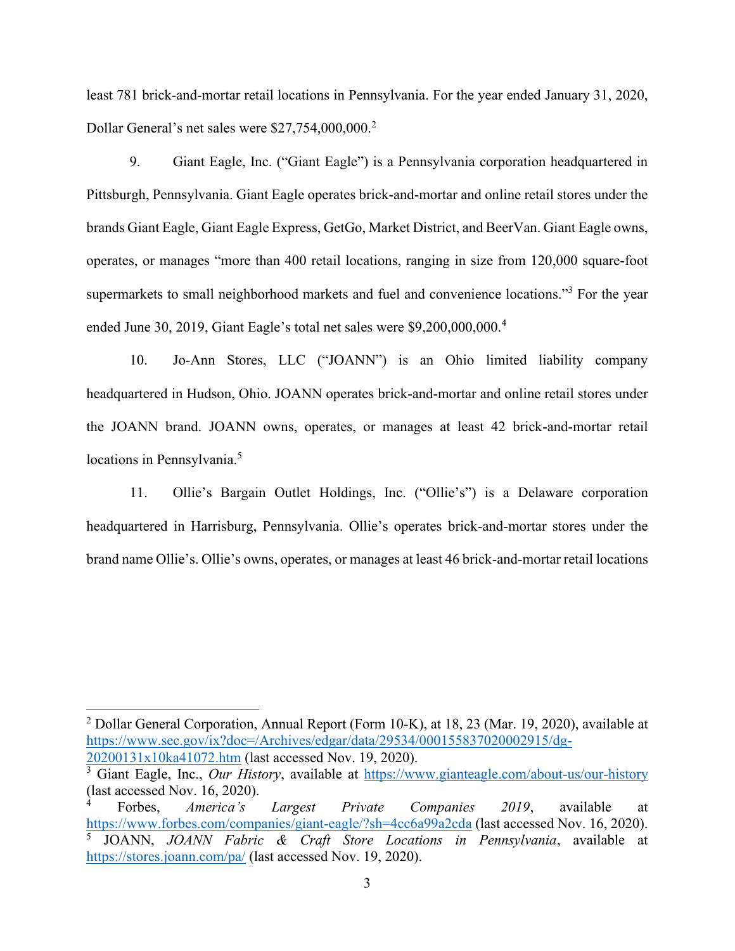least 781 brick-and-mortar retail locations in Pennsylvania. For the year ended January 31, 2020, Dollar General's net sales were \$27,754,000,000.<sup>2</sup>

9. Giant Eagle, Inc. ("Giant Eagle") is a Pennsylvania corporation headquartered in Pittsburgh, Pennsylvania. Giant Eagle operates brick-and-mortar and online retail stores under the brands Giant Eagle, Giant Eagle Express, GetGo, Market District, and BeerVan. Giant Eagle owns, operates, or manages "more than 400 retail locations, ranging in size from 120,000 square-foot supermarkets to small neighborhood markets and fuel and convenience locations."<sup>3</sup> For the year ended June 30, 2019, Giant Eagle's total net sales were  $$9,200,000,000.<sup>4</sup>$ 

10. Jo-Ann Stores, LLC ("JOANN") is an Ohio limited liability company headquartered in Hudson, Ohio. JOANN operates brick-and-mortar and online retail stores under the JOANN brand. JOANN owns, operates, or manages at least 42 brick-and-mortar retail locations in Pennsylvania.<sup>5</sup>

11. Ollie's Bargain Outlet Holdings, Inc. ("Ollie's") is a Delaware corporation headquartered in Harrisburg, Pennsylvania. Ollie's operates brick-and-mortar stores under the brand name Ollie's. Ollie's owns, operates, or manages at least 46 brick-and-mortar retail locations

<sup>2</sup> Dollar General Corporation, Annual Report (Form 10-K), at 18, 23 (Mar. 19, 2020), available at https://www.sec.gov/ix?doc=/Archives/edgar/data/29534/000155837020002915/dg-20200131x10ka41072.htm (last accessed Nov. 19, 2020).

<sup>3</sup> Giant Eagle, Inc., *Our History*, available at https://www.gianteagle.com/about-us/our-history (last accessed Nov. 16, 2020).

Forbes, *America's Largest Private Companies 2019*, available at https://www.forbes.com/companies/giant-eagle/?sh=4cc6a99a2cda (last accessed Nov. 16, 2020). <sup>5</sup> JOANN, *JOANN Fabric & Craft Store Locations in Pennsylvania*, available at https://stores.joann.com/pa/ (last accessed Nov. 19, 2020).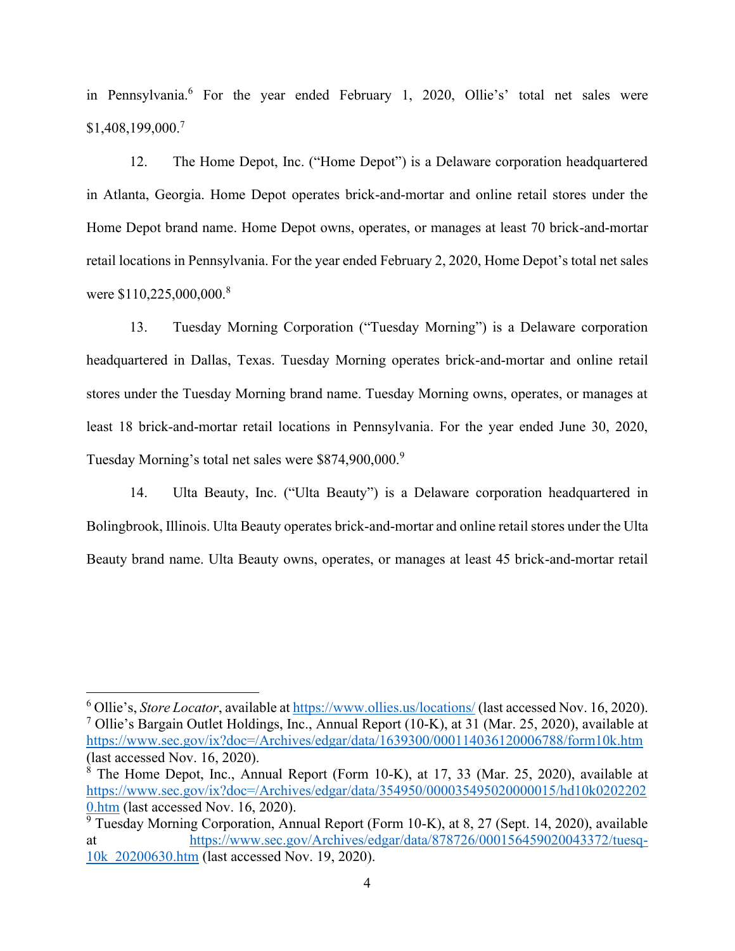in Pennsylvania.<sup>6</sup> For the year ended February 1, 2020, Ollie's' total net sales were \$1,408,199,000.7

12. The Home Depot, Inc. ("Home Depot") is a Delaware corporation headquartered in Atlanta, Georgia. Home Depot operates brick-and-mortar and online retail stores under the Home Depot brand name. Home Depot owns, operates, or manages at least 70 brick-and-mortar retail locations in Pennsylvania. For the year ended February 2, 2020, Home Depot's total net sales were \$110,225,000,000.<sup>8</sup>

13. Tuesday Morning Corporation ("Tuesday Morning") is a Delaware corporation headquartered in Dallas, Texas. Tuesday Morning operates brick-and-mortar and online retail stores under the Tuesday Morning brand name. Tuesday Morning owns, operates, or manages at least 18 brick-and-mortar retail locations in Pennsylvania. For the year ended June 30, 2020, Tuesday Morning's total net sales were \$874,900,000.9

14. Ulta Beauty, Inc. ("Ulta Beauty") is a Delaware corporation headquartered in Bolingbrook, Illinois. Ulta Beauty operates brick-and-mortar and online retail stores under the Ulta Beauty brand name. Ulta Beauty owns, operates, or manages at least 45 brick-and-mortar retail

<sup>&</sup>lt;sup>6</sup> Ollie's, *Store Locator*, available at https://www.ollies.us/locations/ (last accessed Nov. 16, 2020). <sup>7</sup> Ollie's Bargain Outlet Holdings, Inc., Annual Report (10-K), at 31 (Mar. 25, 2020), available at https://www.sec.gov/ix?doc=/Archives/edgar/data/1639300/000114036120006788/form10k.htm (last accessed Nov. 16, 2020).

 $8^8$  The Home Depot, Inc., Annual Report (Form 10-K), at 17, 33 (Mar. 25, 2020), available at https://www.sec.gov/ix?doc=/Archives/edgar/data/354950/000035495020000015/hd10k0202202 0.htm (last accessed Nov. 16, 2020).

 $\frac{9}{9}$  Tuesday Morning Corporation, Annual Report (Form 10-K), at 8, 27 (Sept. 14, 2020), available at https://www.sec.gov/Archives/edgar/data/878726/000156459020043372/tuesq-10k\_20200630.htm (last accessed Nov. 19, 2020).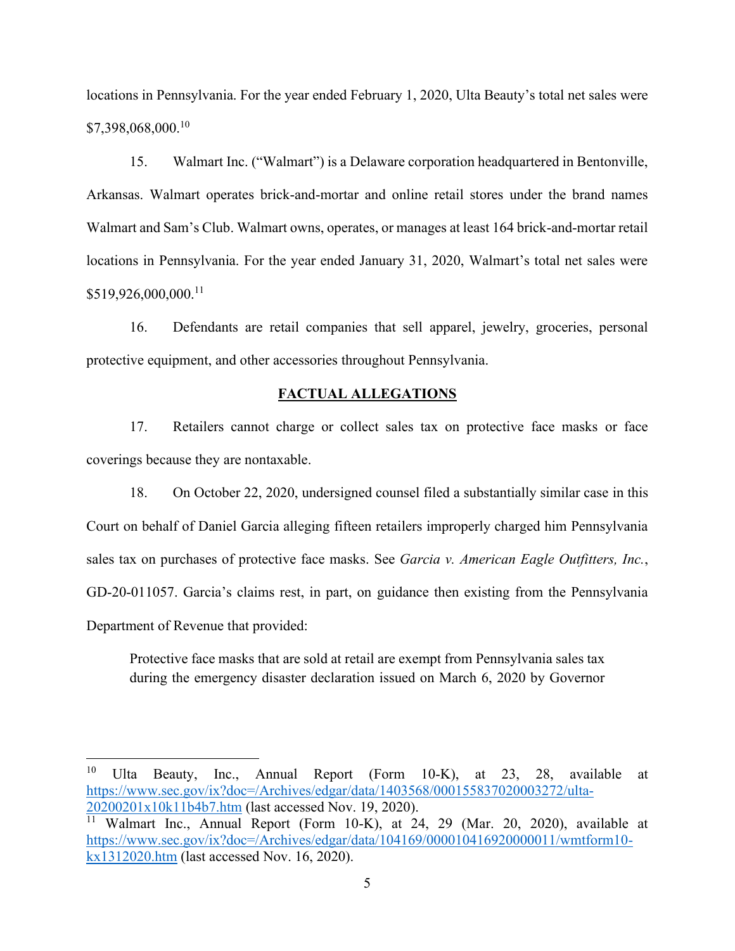locations in Pennsylvania. For the year ended February 1, 2020, Ulta Beauty's total net sales were \$7,398,068,000.10

15. Walmart Inc. ("Walmart") is a Delaware corporation headquartered in Bentonville, Arkansas. Walmart operates brick-and-mortar and online retail stores under the brand names Walmart and Sam's Club. Walmart owns, operates, or manages at least 164 brick-and-mortar retail locations in Pennsylvania. For the year ended January 31, 2020, Walmart's total net sales were \$519,926,000,000.11

16. Defendants are retail companies that sell apparel, jewelry, groceries, personal protective equipment, and other accessories throughout Pennsylvania.

#### **FACTUAL ALLEGATIONS**

17. Retailers cannot charge or collect sales tax on protective face masks or face coverings because they are nontaxable.

18. On October 22, 2020, undersigned counsel filed a substantially similar case in this Court on behalf of Daniel Garcia alleging fifteen retailers improperly charged him Pennsylvania sales tax on purchases of protective face masks. See *Garcia v. American Eagle Outfitters, Inc.*, GD-20-011057. Garcia's claims rest, in part, on guidance then existing from the Pennsylvania Department of Revenue that provided:

Protective face masks that are sold at retail are exempt from Pennsylvania sales tax during the emergency disaster declaration issued on March 6, 2020 by Governor

<sup>10</sup> Ulta Beauty, Inc., Annual Report (Form 10-K), at 23, 28, available at https://www.sec.gov/ix?doc=/Archives/edgar/data/1403568/000155837020003272/ulta-20200201x10k11b4b7.htm (last accessed Nov. 19, 2020).

<sup>&</sup>lt;sup>11</sup> Walmart Inc., Annual Report (Form 10-K), at 24, 29 (Mar. 20, 2020), available at https://www.sec.gov/ix?doc=/Archives/edgar/data/104169/000010416920000011/wmtform10 kx1312020.htm (last accessed Nov. 16, 2020).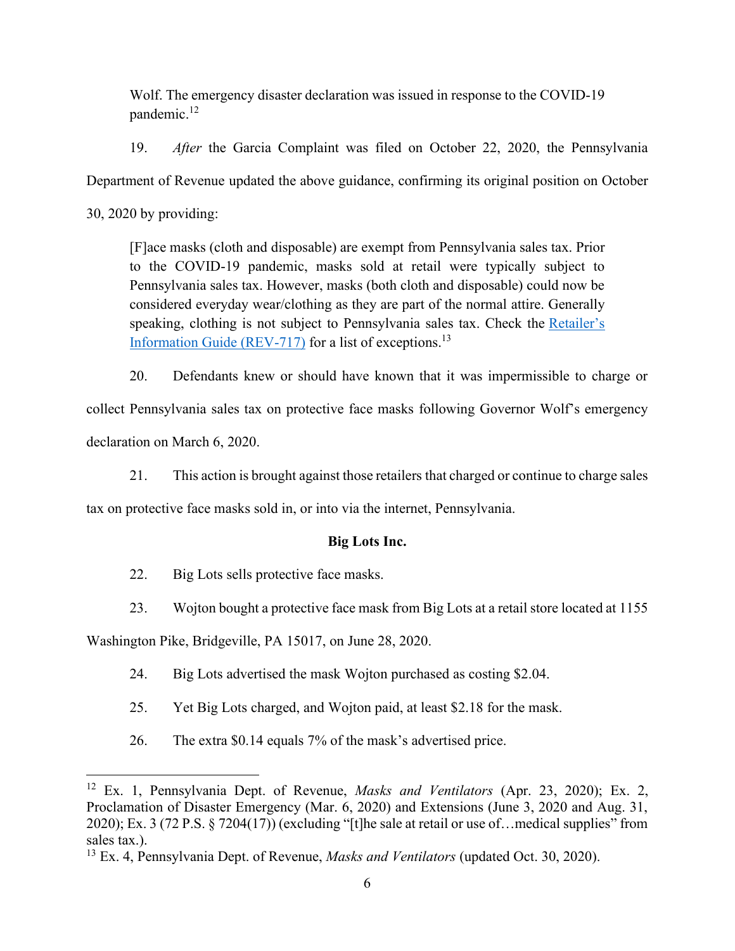Wolf. The emergency disaster declaration was issued in response to the COVID-19 pandemic. 12

19. *After* the Garcia Complaint was filed on October 22, 2020, the Pennsylvania

Department of Revenue updated the above guidance, confirming its original position on October

30, 2020 by providing:

[F]ace masks (cloth and disposable) are exempt from Pennsylvania sales tax. Prior to the COVID-19 pandemic, masks sold at retail were typically subject to Pennsylvania sales tax. However, masks (both cloth and disposable) could now be considered everyday wear/clothing as they are part of the normal attire. Generally speaking, clothing is not subject to Pennsylvania sales tax. Check the Retailer's Information Guide (REV-717) for a list of exceptions.<sup>13</sup>

20. Defendants knew or should have known that it was impermissible to charge or collect Pennsylvania sales tax on protective face masks following Governor Wolf's emergency declaration on March 6, 2020.

21. This action is brought against those retailers that charged or continue to charge sales

tax on protective face masks sold in, or into via the internet, Pennsylvania.

# **Big Lots Inc.**

- 22. Big Lots sells protective face masks.
- 23. Wojton bought a protective face mask from Big Lots at a retail store located at 1155

Washington Pike, Bridgeville, PA 15017, on June 28, 2020.

- 24. Big Lots advertised the mask Wojton purchased as costing \$2.04.
- 25. Yet Big Lots charged, and Wojton paid, at least \$2.18 for the mask.
- 26. The extra  $$0.14$  equals  $7\%$  of the mask's advertised price.

<sup>12</sup> Ex. 1, Pennsylvania Dept. of Revenue, *Masks and Ventilators* (Apr. 23, 2020); Ex. 2, Proclamation of Disaster Emergency (Mar. 6, 2020) and Extensions (June 3, 2020 and Aug. 31, 2020); Ex. 3 (72 P.S.  $\S$  7204(17)) (excluding "[t]he sale at retail or use of... medical supplies" from sales tax.).

<sup>13</sup> Ex. 4, Pennsylvania Dept. of Revenue, *Masks and Ventilators* (updated Oct. 30, 2020).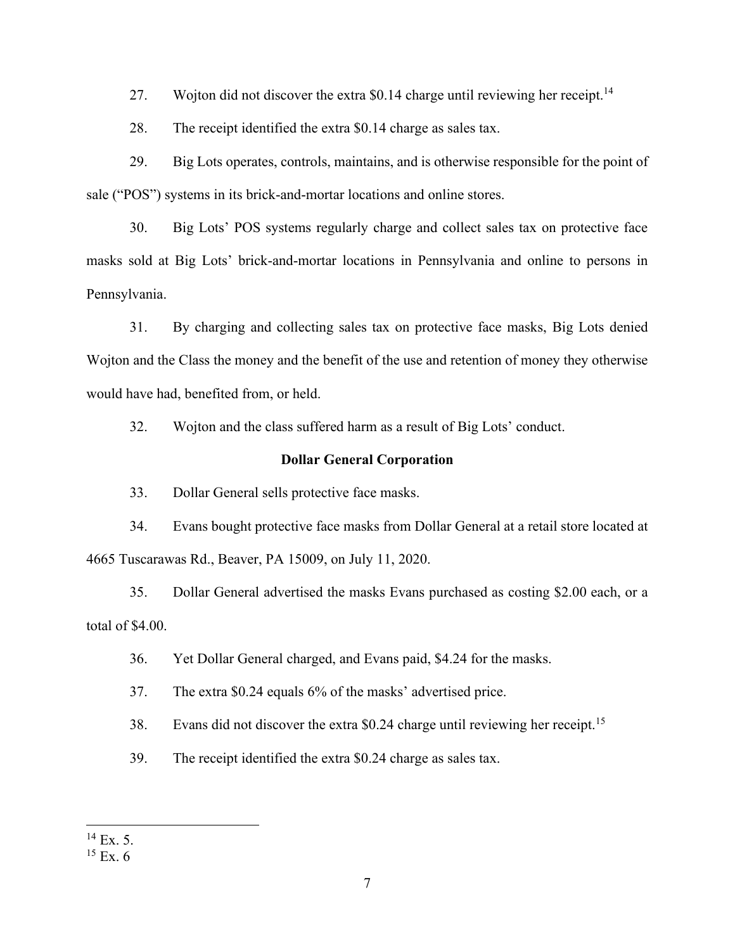27. Wojton did not discover the extra \$0.14 charge until reviewing her receipt.<sup>14</sup>

28. The receipt identified the extra \$0.14 charge as sales tax.

29. Big Lots operates, controls, maintains, and is otherwise responsible for the point of sale ("POS") systems in its brick-and-mortar locations and online stores.

30. Big Lots' POS systems regularly charge and collect sales tax on protective face masks sold at Big Lots' brick-and-mortar locations in Pennsylvania and online to persons in Pennsylvania.

31. By charging and collecting sales tax on protective face masks, Big Lots denied Wojton and the Class the money and the benefit of the use and retention of money they otherwise would have had, benefited from, or held.

32. Wojton and the class suffered harm as a result of Big Lots' conduct.

#### **Dollar General Corporation**

33. Dollar General sells protective face masks.

34. Evans bought protective face masks from Dollar General at a retail store located at 4665 Tuscarawas Rd., Beaver, PA 15009, on July 11, 2020.

35. Dollar General advertised the masks Evans purchased as costing \$2.00 each, or a total of \$4.00.

- 36. Yet Dollar General charged, and Evans paid, \$4.24 for the masks.
- 37. The extra  $$0.24$  equals  $6\%$  of the masks' advertised price.
- 38. Evans did not discover the extra \$0.24 charge until reviewing her receipt.<sup>15</sup>
- 39. The receipt identified the extra \$0.24 charge as sales tax.

 $14$  Ex. 5.

 $15$  Ex. 6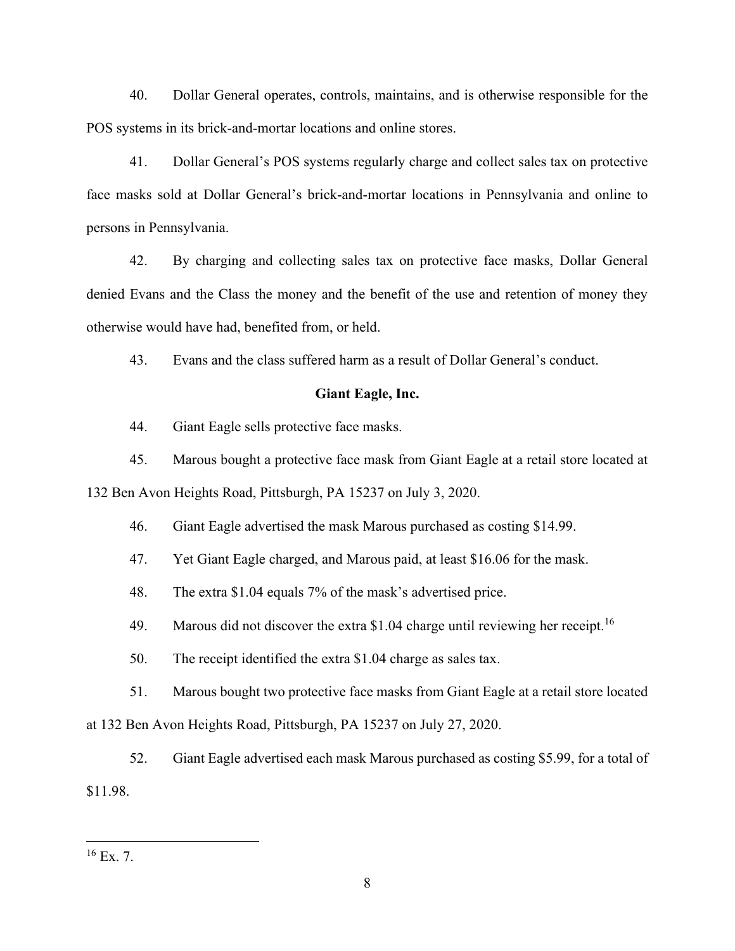40. Dollar General operates, controls, maintains, and is otherwise responsible for the POS systems in its brick-and-mortar locations and online stores.

41. Dollar General's POS systems regularly charge and collect sales tax on protective face masks sold at Dollar General's brick-and-mortar locations in Pennsylvania and online to persons in Pennsylvania.

42. By charging and collecting sales tax on protective face masks, Dollar General denied Evans and the Class the money and the benefit of the use and retention of money they otherwise would have had, benefited from, or held.

43. Evans and the class suffered harm as a result of Dollar General's conduct.

#### **Giant Eagle, Inc.**

- 44. Giant Eagle sells protective face masks.
- 45. Marous bought a protective face mask from Giant Eagle at a retail store located at

132 Ben Avon Heights Road, Pittsburgh, PA 15237 on July 3, 2020.

- 46. Giant Eagle advertised the mask Marous purchased as costing \$14.99.
- 47. Yet Giant Eagle charged, and Marous paid, at least \$16.06 for the mask.
- 48. The extra \$1.04 equals 7% of the mask's advertised price.
- 49. Marous did not discover the extra \$1.04 charge until reviewing her receipt.<sup>16</sup>
- 50. The receipt identified the extra \$1.04 charge as sales tax.
- 51. Marous bought two protective face masks from Giant Eagle at a retail store located

at 132 Ben Avon Heights Road, Pittsburgh, PA 15237 on July 27, 2020.

52. Giant Eagle advertised each mask Marous purchased as costing \$5.99, for a total of \$11.98.

 $16$  Ex. 7.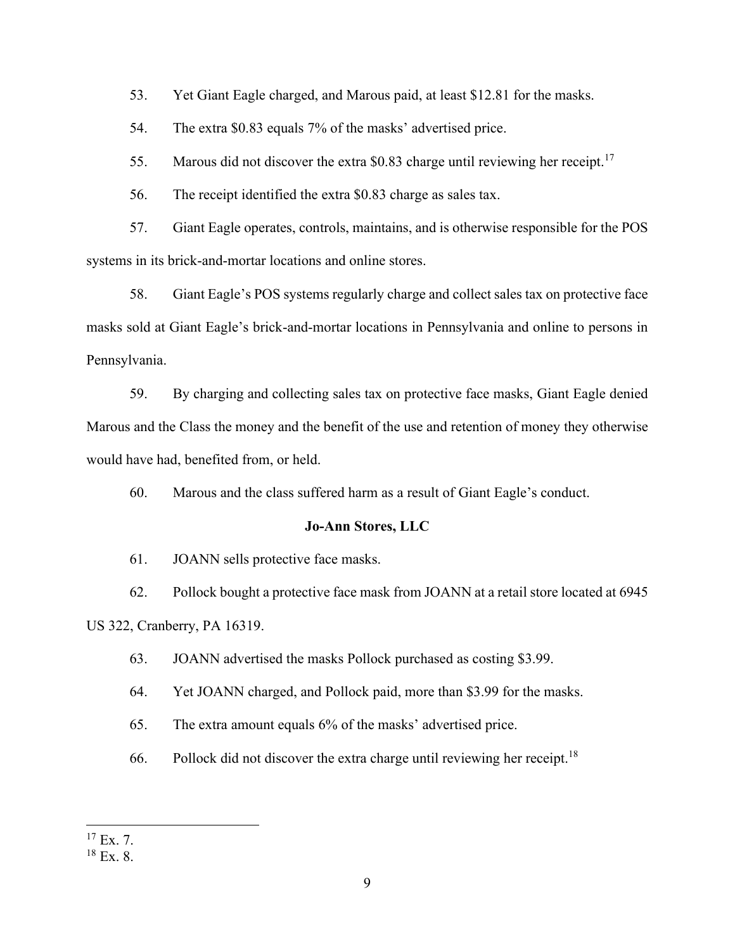53. Yet Giant Eagle charged, and Marous paid, at least \$12.81 for the masks.

54. The extra \$0.83 equals 7% of the masks' advertised price.

55. Marous did not discover the extra \$0.83 charge until reviewing her receipt.<sup>17</sup>

56. The receipt identified the extra \$0.83 charge as sales tax.

57. Giant Eagle operates, controls, maintains, and is otherwise responsible for the POS systems in its brick-and-mortar locations and online stores.

58. Giant Eagle's POS systems regularly charge and collect sales tax on protective face masks sold at Giant Eagle's brick-and-mortar locations in Pennsylvania and online to persons in Pennsylvania.

59. By charging and collecting sales tax on protective face masks, Giant Eagle denied Marous and the Class the money and the benefit of the use and retention of money they otherwise would have had, benefited from, or held.

60. Marous and the class suffered harm as a result of Giant Eagle's conduct.

#### **Jo-Ann Stores, LLC**

61. JOANN sells protective face masks.

62. Pollock bought a protective face mask from JOANN at a retail store located at 6945 US 322, Cranberry, PA 16319.

63. JOANN advertised the masks Pollock purchased as costing \$3.99.

64. Yet JOANN charged, and Pollock paid, more than \$3.99 for the masks.

65. The extra amount equals  $6\%$  of the masks' advertised price.

66. Pollock did not discover the extra charge until reviewing her receipt.<sup>18</sup>

 $17$  Ex. 7.

<sup>18</sup> Ex. 8.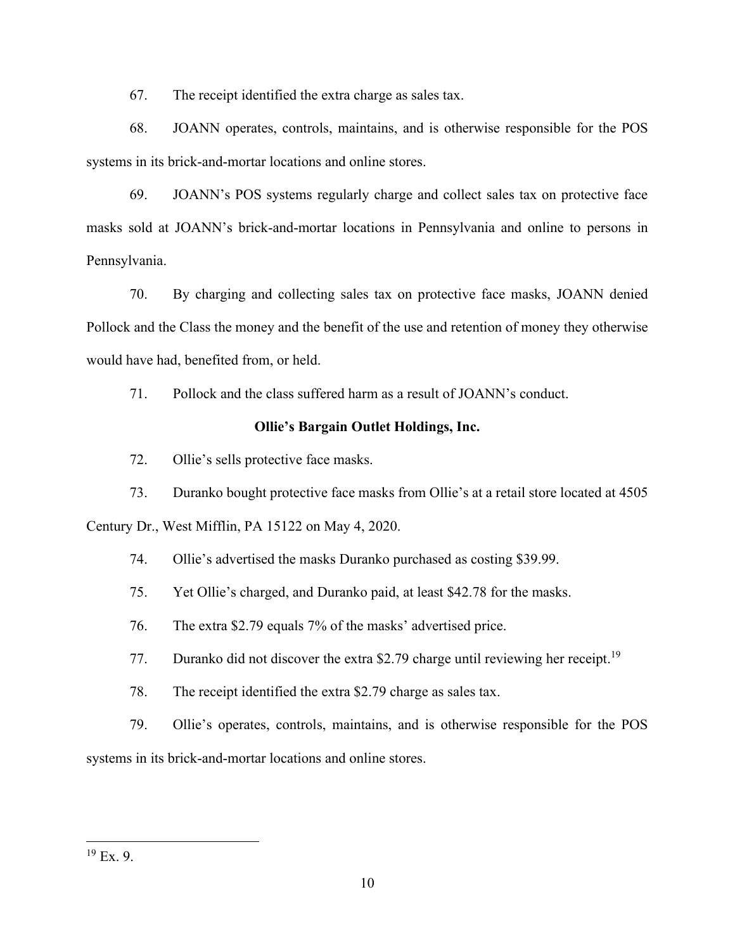67. The receipt identified the extra charge as sales tax.

68. JOANN operates, controls, maintains, and is otherwise responsible for the POS systems in its brick-and-mortar locations and online stores.

69. JOANN's POS systems regularly charge and collect sales tax on protective face masks sold at JOANN's brick-and-mortar locations in Pennsylvania and online to persons in Pennsylvania.

70. By charging and collecting sales tax on protective face masks, JOANN denied Pollock and the Class the money and the benefit of the use and retention of money they otherwise would have had, benefited from, or held.

71. Pollock and the class suffered harm as a result of JOANN's conduct.

# **Ollie's Bargain Outlet Holdings, Inc.**

72. Ollie's sells protective face masks.

73. Duranko bought protective face masks from Ollie's at a retail store located at 4505 Century Dr., West Mifflin, PA 15122 on May 4, 2020.

74. Ollie's advertised the masks Duranko purchased as costing \$39.99.

75. Yet Ollie's charged, and Duranko paid, at least \$42.78 for the masks.

76. The extra \$2.79 equals 7% of the masks' advertised price.

77. Duranko did not discover the extra \$2.79 charge until reviewing her receipt.<sup>19</sup>

78. The receipt identified the extra \$2.79 charge as sales tax.

79. Ollie's operates, controls, maintains, and is otherwise responsible for the POS systems in its brick-and-mortar locations and online stores.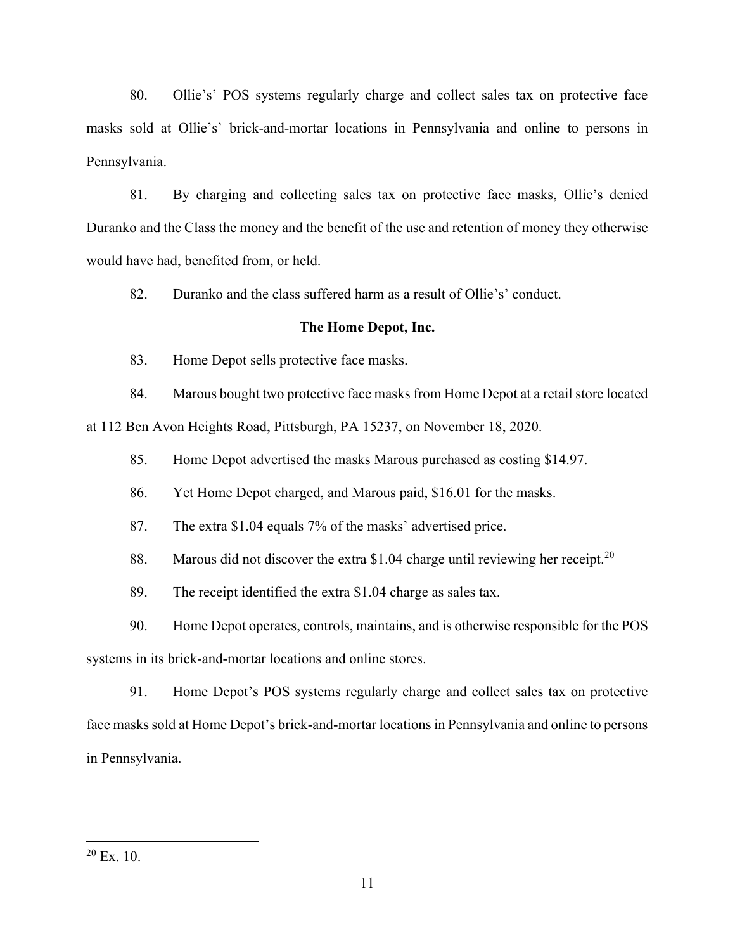80. Ollie's' POS systems regularly charge and collect sales tax on protective face masks sold at Ollie's' brick-and-mortar locations in Pennsylvania and online to persons in Pennsylvania.

81. By charging and collecting sales tax on protective face masks, Ollie's denied Duranko and the Class the money and the benefit of the use and retention of money they otherwise would have had, benefited from, or held.

82. Duranko and the class suffered harm as a result of Ollie's' conduct.

#### **The Home Depot, Inc.**

83. Home Depot sells protective face masks.

84. Marous bought two protective face masks from Home Depot at a retail store located

at 112 Ben Avon Heights Road, Pittsburgh, PA 15237, on November 18, 2020.

85. Home Depot advertised the masks Marous purchased as costing \$14.97.

86. Yet Home Depot charged, and Marous paid, \$16.01 for the masks.

87. The extra \$1.04 equals 7% of the masks' advertised price.

88. Marous did not discover the extra \$1.04 charge until reviewing her receipt.<sup>20</sup>

89. The receipt identified the extra \$1.04 charge as sales tax.

90. Home Depot operates, controls, maintains, and is otherwise responsible for the POS

systems in its brick-and-mortar locations and online stores.

91. Home Depot's POS systems regularly charge and collect sales tax on protective face masks sold at Home Depot's brick-and-mortar locations in Pennsylvania and online to persons in Pennsylvania.

 $20$  Ex. 10.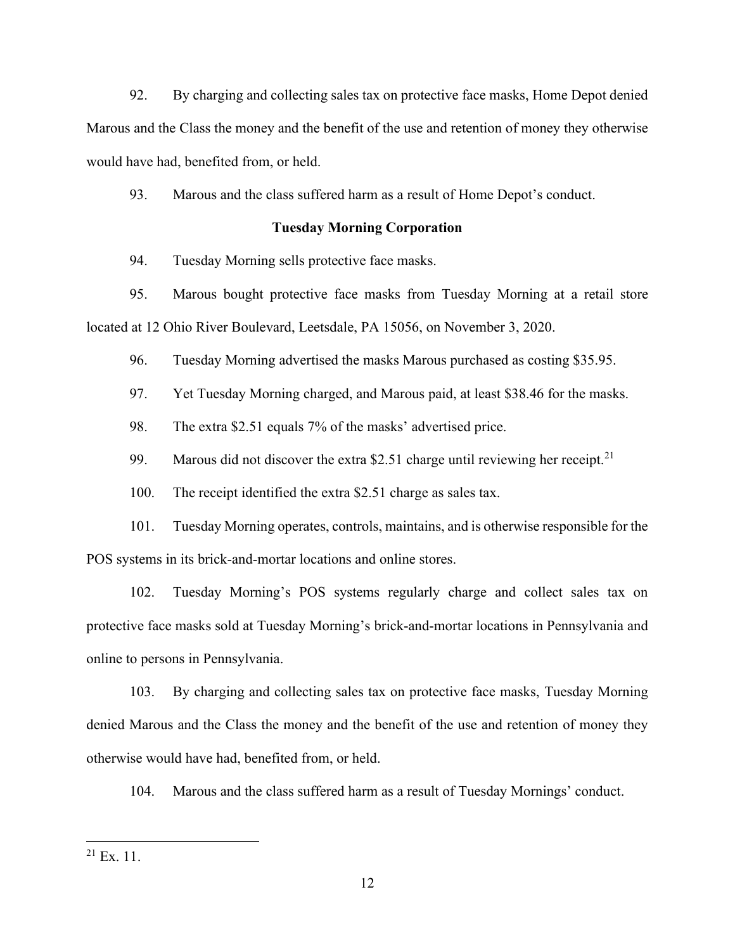92. By charging and collecting sales tax on protective face masks, Home Depot denied Marous and the Class the money and the benefit of the use and retention of money they otherwise would have had, benefited from, or held.

93. Marous and the class suffered harm as a result of Home Depot's conduct.

## **Tuesday Morning Corporation**

94. Tuesday Morning sells protective face masks.

95. Marous bought protective face masks from Tuesday Morning at a retail store located at 12 Ohio River Boulevard, Leetsdale, PA 15056, on November 3, 2020.

96. Tuesday Morning advertised the masks Marous purchased as costing \$35.95.

97. Yet Tuesday Morning charged, and Marous paid, at least \$38.46 for the masks.

98. The extra \$2.51 equals 7% of the masks' advertised price.

99. Marous did not discover the extra \$2.51 charge until reviewing her receipt.<sup>21</sup>

100. The receipt identified the extra \$2.51 charge as sales tax.

101. Tuesday Morning operates, controls, maintains, and is otherwise responsible for the POS systems in its brick-and-mortar locations and online stores.

102. Tuesday Morning's POS systems regularly charge and collect sales tax on protective face masks sold at Tuesday Morning's brick-and-mortar locations in Pennsylvania and online to persons in Pennsylvania.

103. By charging and collecting sales tax on protective face masks, Tuesday Morning denied Marous and the Class the money and the benefit of the use and retention of money they otherwise would have had, benefited from, or held.

104. Marous and the class suffered harm as a result of Tuesday Mornings' conduct.

 $21$  Ex. 11.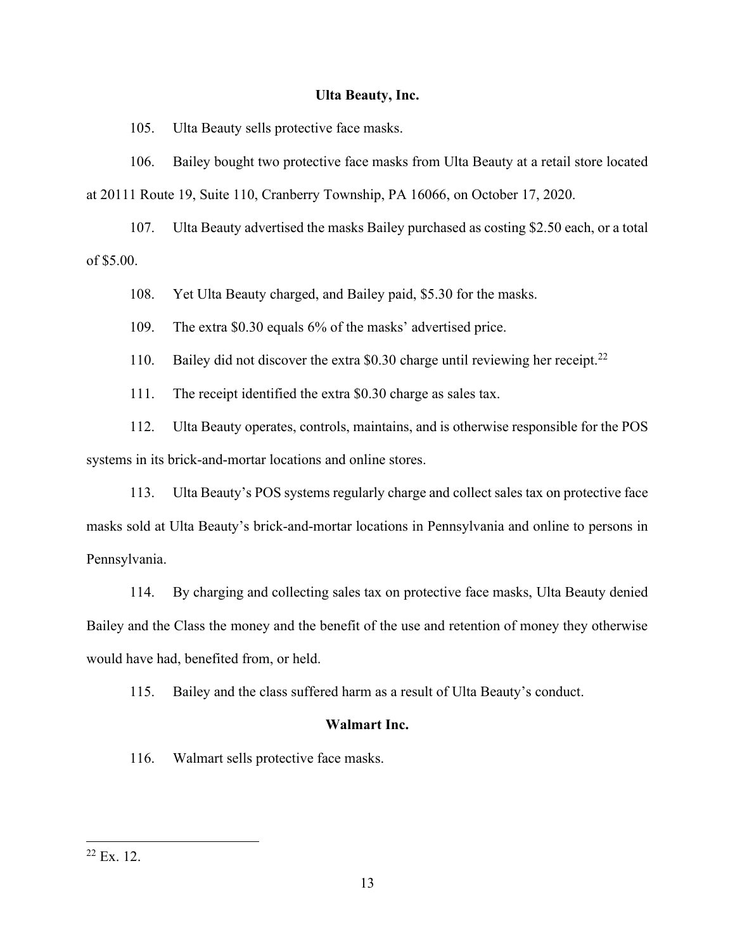## **Ulta Beauty, Inc.**

105. Ulta Beauty sells protective face masks.

106. Bailey bought two protective face masks from Ulta Beauty at a retail store located at 20111 Route 19, Suite 110, Cranberry Township, PA 16066, on October 17, 2020.

107. Ulta Beauty advertised the masks Bailey purchased as costing \$2.50 each, or a total of \$5.00.

108. Yet Ulta Beauty charged, and Bailey paid, \$5.30 for the masks.

109. The extra \$0.30 equals 6% of the masks' advertised price.

110. Bailey did not discover the extra \$0.30 charge until reviewing her receipt.<sup>22</sup>

111. The receipt identified the extra \$0.30 charge as sales tax.

112. Ulta Beauty operates, controls, maintains, and is otherwise responsible for the POS systems in its brick-and-mortar locations and online stores.

113. Ulta Beauty's POS systems regularly charge and collect sales tax on protective face masks sold at Ulta Beauty's brick-and-mortar locations in Pennsylvania and online to persons in Pennsylvania.

114. By charging and collecting sales tax on protective face masks, Ulta Beauty denied Bailey and the Class the money and the benefit of the use and retention of money they otherwise would have had, benefited from, or held.

115. Bailey and the class suffered harm as a result of Ulta Beauty's conduct.

#### **Walmart Inc.**

116. Walmart sells protective face masks.

 $22$  Ex. 12.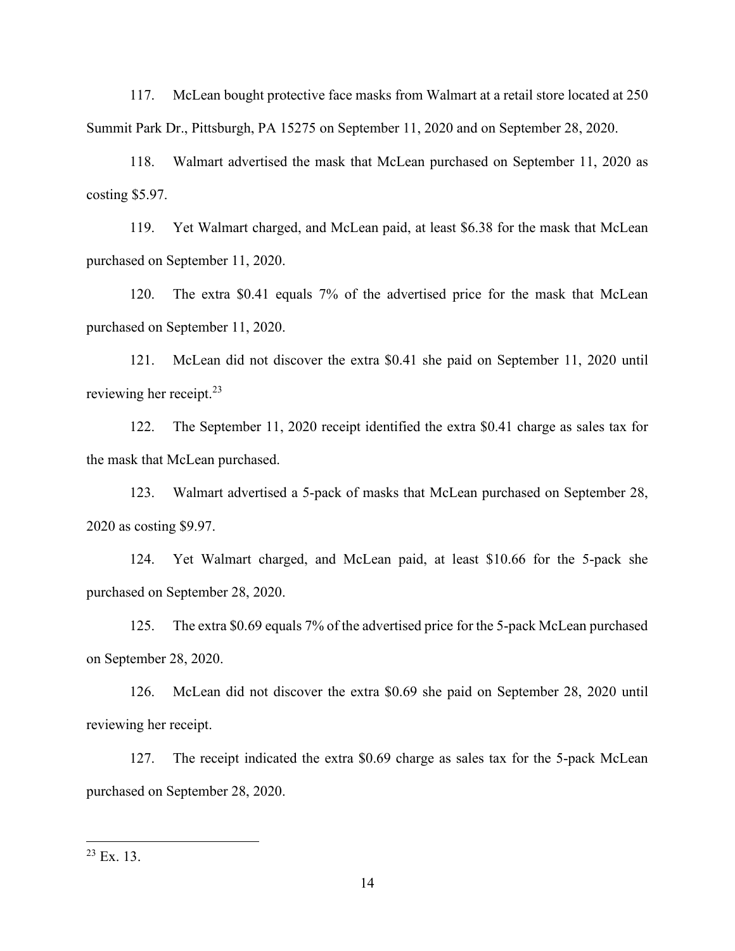117. McLean bought protective face masks from Walmart at a retail store located at 250 Summit Park Dr., Pittsburgh, PA 15275 on September 11, 2020 and on September 28, 2020.

118. Walmart advertised the mask that McLean purchased on September 11, 2020 as costing \$5.97.

119. Yet Walmart charged, and McLean paid, at least \$6.38 for the mask that McLean purchased on September 11, 2020.

120. The extra \$0.41 equals 7% of the advertised price for the mask that McLean purchased on September 11, 2020.

121. McLean did not discover the extra \$0.41 she paid on September 11, 2020 until reviewing her receipt.<sup>23</sup>

122. The September 11, 2020 receipt identified the extra \$0.41 charge as sales tax for the mask that McLean purchased.

123. Walmart advertised a 5-pack of masks that McLean purchased on September 28, 2020 as costing \$9.97.

124. Yet Walmart charged, and McLean paid, at least \$10.66 for the 5-pack she purchased on September 28, 2020.

125. The extra \$0.69 equals 7% of the advertised price for the 5-pack McLean purchased on September 28, 2020.

126. McLean did not discover the extra \$0.69 she paid on September 28, 2020 until reviewing her receipt.

127. The receipt indicated the extra \$0.69 charge as sales tax for the 5-pack McLean purchased on September 28, 2020.

 $23$  Ex. 13.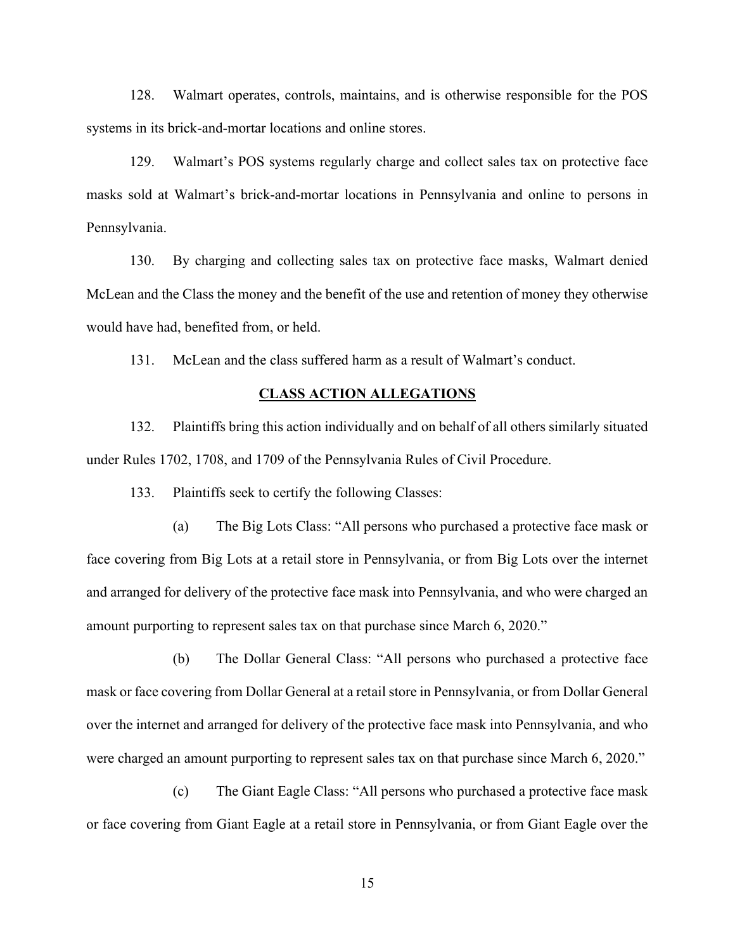128. Walmart operates, controls, maintains, and is otherwise responsible for the POS systems in its brick-and-mortar locations and online stores.

129. Walmart's POS systems regularly charge and collect sales tax on protective face masks sold at Walmart's brick-and-mortar locations in Pennsylvania and online to persons in Pennsylvania.

130. By charging and collecting sales tax on protective face masks, Walmart denied McLean and the Class the money and the benefit of the use and retention of money they otherwise would have had, benefited from, or held.

131. McLean and the class suffered harm as a result of Walmart's conduct.

#### **CLASS ACTION ALLEGATIONS**

132. Plaintiffs bring this action individually and on behalf of all others similarly situated under Rules 1702, 1708, and 1709 of the Pennsylvania Rules of Civil Procedure.

133. Plaintiffs seek to certify the following Classes:

(a) The Big Lots Class: "All persons who purchased a protective face mask or face covering from Big Lots at a retail store in Pennsylvania, or from Big Lots over the internet and arranged for delivery of the protective face mask into Pennsylvania, and who were charged an amount purporting to represent sales tax on that purchase since March 6, 2020.<sup>"</sup>

(b) The Dollar General Class: "All persons who purchased a protective face mask or face covering from Dollar General at a retail store in Pennsylvania, or from Dollar General over the internet and arranged for delivery of the protective face mask into Pennsylvania, and who were charged an amount purporting to represent sales tax on that purchase since March 6, 2020.<sup>'</sup>

(c) The Giant Eagle Class: "All persons who purchased a protective face mask or face covering from Giant Eagle at a retail store in Pennsylvania, or from Giant Eagle over the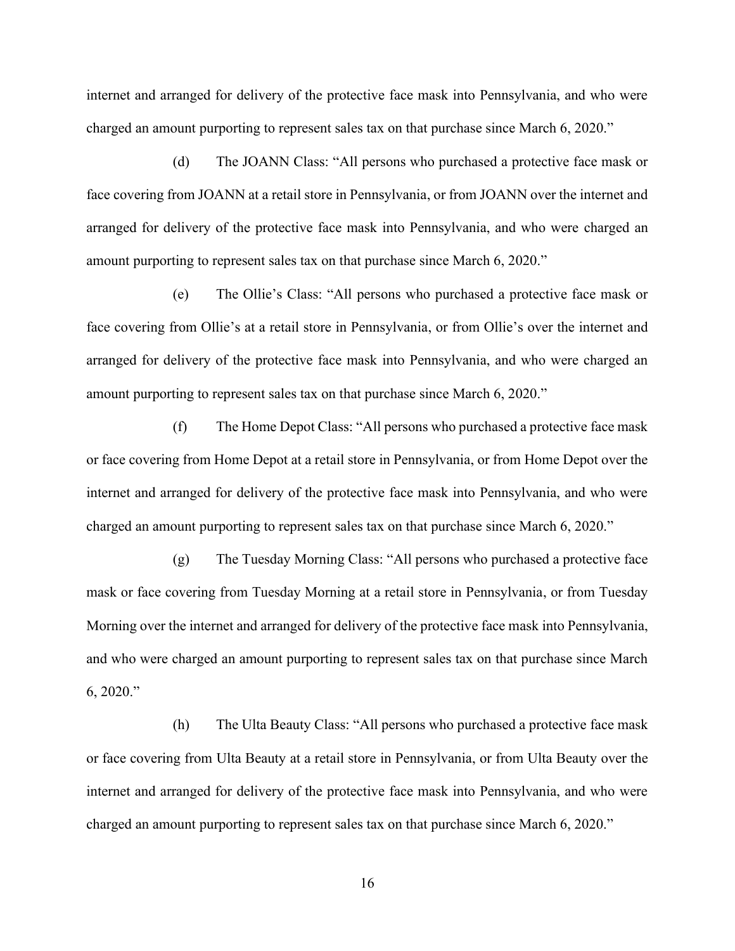internet and arranged for delivery of the protective face mask into Pennsylvania, and who were charged an amount purporting to represent sales tax on that purchase since March 6, 2020.´

(d) The JOANN Class: "All persons who purchased a protective face mask or face covering from JOANN at a retail store in Pennsylvania, or from JOANN over the internet and arranged for delivery of the protective face mask into Pennsylvania, and who were charged an amount purporting to represent sales tax on that purchase since March 6, 2020.<sup>''</sup>

(e) The Ollie's Class: "All persons who purchased a protective face mask or face covering from Ollie's at a retail store in Pennsylvania, or from Ollie's over the internet and arranged for delivery of the protective face mask into Pennsylvania, and who were charged an amount purporting to represent sales tax on that purchase since March 6, 2020.<sup>"</sup>

(f) The Home Depot Class: "All persons who purchased a protective face mask or face covering from Home Depot at a retail store in Pennsylvania, or from Home Depot over the internet and arranged for delivery of the protective face mask into Pennsylvania, and who were charged an amount purporting to represent sales tax on that purchase since March 6, 2020.´

(g) The Tuesday Morning Class: "All persons who purchased a protective face mask or face covering from Tuesday Morning at a retail store in Pennsylvania, or from Tuesday Morning over the internet and arranged for delivery of the protective face mask into Pennsylvania, and who were charged an amount purporting to represent sales tax on that purchase since March  $6, 2020$ ."

(h) The Ulta Beauty Class: "All persons who purchased a protective face mask or face covering from Ulta Beauty at a retail store in Pennsylvania, or from Ulta Beauty over the internet and arranged for delivery of the protective face mask into Pennsylvania, and who were charged an amount purporting to represent sales tax on that purchase since March 6, 2020.<sup>"</sup>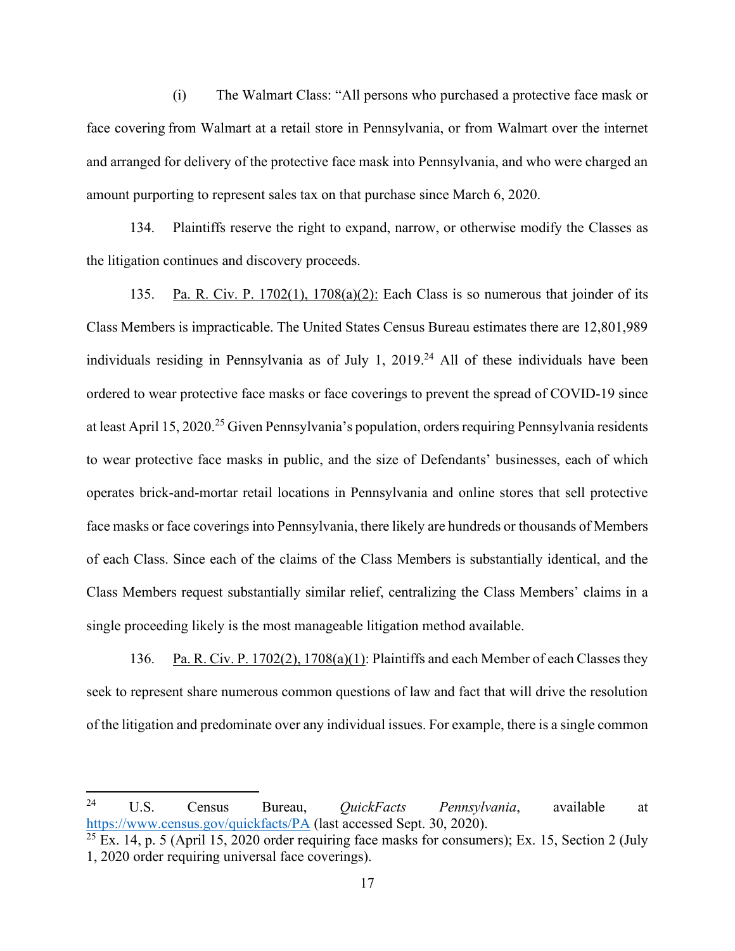(i) The Walmart Class: "All persons who purchased a protective face mask or face covering from Walmart at a retail store in Pennsylvania, or from Walmart over the internet and arranged for delivery of the protective face mask into Pennsylvania, and who were charged an amount purporting to represent sales tax on that purchase since March 6, 2020.

134. Plaintiffs reserve the right to expand, narrow, or otherwise modify the Classes as the litigation continues and discovery proceeds.

135. Pa. R. Civ. P. 1702(1), 1708(a)(2): Each Class is so numerous that joinder of its Class Members is impracticable. The United States Census Bureau estimates there are 12,801,989 individuals residing in Pennsylvania as of July 1,  $2019<sup>24</sup>$  All of these individuals have been ordered to wear protective face masks or face coverings to prevent the spread of COVID-19 since at least April 15, 2020.<sup>25</sup> Given Pennsylvania's population, orders requiring Pennsylvania residents to wear protective face masks in public, and the size of Defendants' businesses, each of which operates brick-and-mortar retail locations in Pennsylvania and online stores that sell protective face masks or face coverings into Pennsylvania, there likely are hundreds or thousands of Members of each Class. Since each of the claims of the Class Members is substantially identical, and the Class Members request substantially similar relief, centralizing the Class Members' claims in a single proceeding likely is the most manageable litigation method available.

136. Pa. R. Civ. P. 1702(2), 1708(a)(1): Plaintiffs and each Member of each Classes they seek to represent share numerous common questions of law and fact that will drive the resolution of the litigation and predominate over any individual issues. For example, there is a single common

<sup>24</sup> U.S. Census Bureau, *QuickFacts Pennsylvania*, available at https://www.census.gov/quickfacts/PA (last accessed Sept. 30, 2020).

 $25$  Ex. 14, p. 5 (April 15, 2020 order requiring face masks for consumers); Ex. 15, Section 2 (July 1, 2020 order requiring universal face coverings).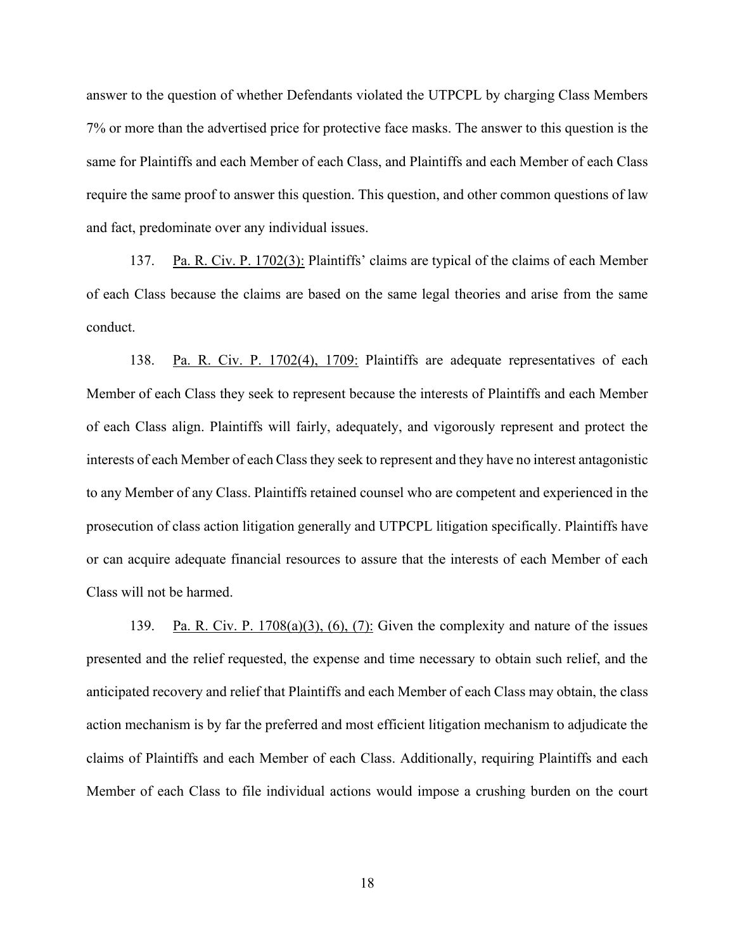answer to the question of whether Defendants violated the UTPCPL by charging Class Members 7% or more than the advertised price for protective face masks. The answer to this question is the same for Plaintiffs and each Member of each Class, and Plaintiffs and each Member of each Class require the same proof to answer this question. This question, and other common questions of law and fact, predominate over any individual issues.

137. Pa. R. Civ. P. 1702(3): Plaintiffs' claims are typical of the claims of each Member of each Class because the claims are based on the same legal theories and arise from the same conduct.

138. Pa. R. Civ. P. 1702(4), 1709: Plaintiffs are adequate representatives of each Member of each Class they seek to represent because the interests of Plaintiffs and each Member of each Class align. Plaintiffs will fairly, adequately, and vigorously represent and protect the interests of each Member of each Class they seek to represent and they have no interest antagonistic to any Member of any Class. Plaintiffs retained counsel who are competent and experienced in the prosecution of class action litigation generally and UTPCPL litigation specifically. Plaintiffs have or can acquire adequate financial resources to assure that the interests of each Member of each Class will not be harmed.

139. Pa. R. Civ. P. 1708(a)(3), (6), (7): Given the complexity and nature of the issues presented and the relief requested, the expense and time necessary to obtain such relief, and the anticipated recovery and relief that Plaintiffs and each Member of each Class may obtain, the class action mechanism is by far the preferred and most efficient litigation mechanism to adjudicate the claims of Plaintiffs and each Member of each Class. Additionally, requiring Plaintiffs and each Member of each Class to file individual actions would impose a crushing burden on the court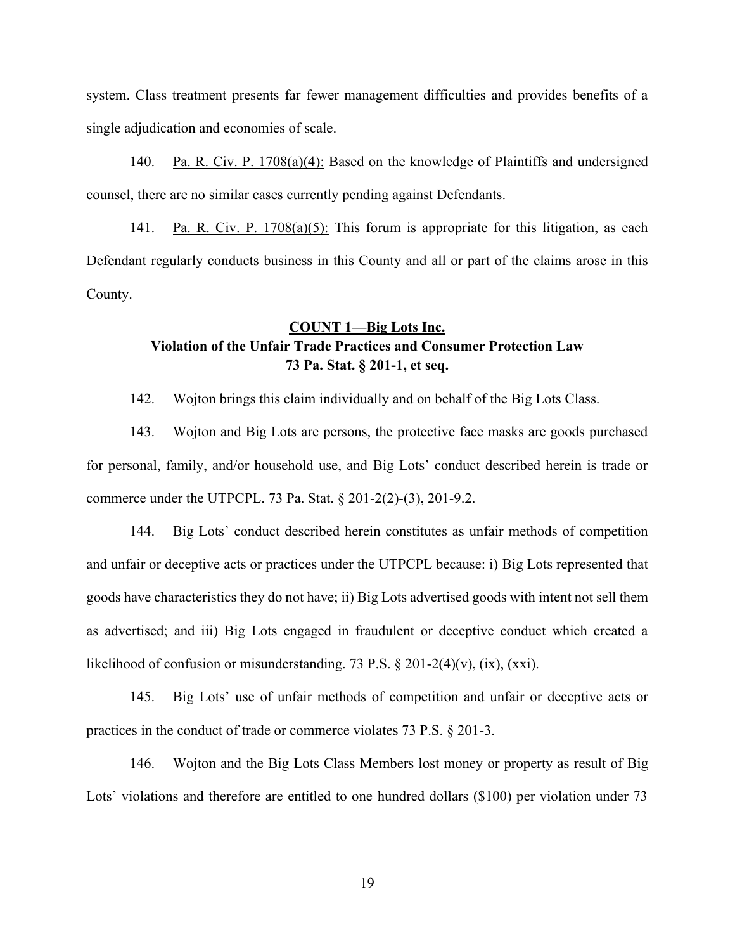system. Class treatment presents far fewer management difficulties and provides benefits of a single adjudication and economies of scale.

140. Pa. R. Civ. P. 1708(a)(4): Based on the knowledge of Plaintiffs and undersigned counsel, there are no similar cases currently pending against Defendants.

141. Pa. R. Civ. P. 1708(a)(5): This forum is appropriate for this litigation, as each Defendant regularly conducts business in this County and all or part of the claims arose in this County.

# **COUNT 1²Big Lots Inc. Violation of the Unfair Trade Practices and Consumer Protection Law 73 Pa. Stat. § 201-1, et seq.**

142. Wojton brings this claim individually and on behalf of the Big Lots Class.

143. Wojton and Big Lots are persons, the protective face masks are goods purchased for personal, family, and/or household use, and Big Lots' conduct described herein is trade or commerce under the UTPCPL. 73 Pa. Stat. § 201-2(2)-(3), 201-9.2.

144. Big Lots' conduct described herein constitutes as unfair methods of competition and unfair or deceptive acts or practices under the UTPCPL because: i) Big Lots represented that goods have characteristics they do not have; ii) Big Lots advertised goods with intent not sell them as advertised; and iii) Big Lots engaged in fraudulent or deceptive conduct which created a likelihood of confusion or misunderstanding. 73 P.S.  $\S 201-2(4)(v)$ , (ix), (xxi).

145. Big Lots' use of unfair methods of competition and unfair or deceptive acts or practices in the conduct of trade or commerce violates 73 P.S. § 201-3.

146. Wojton and the Big Lots Class Members lost money or property as result of Big Lots' violations and therefore are entitled to one hundred dollars (\$100) per violation under 73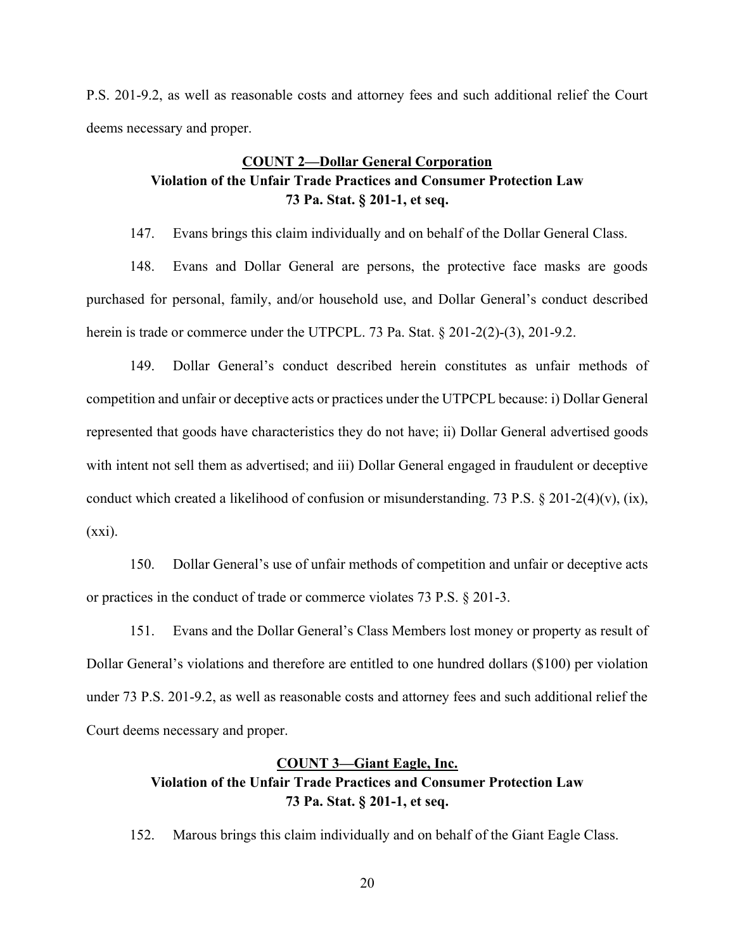P.S. 201-9.2, as well as reasonable costs and attorney fees and such additional relief the Court deems necessary and proper.

# **COUNT 2²Dollar General Corporation Violation of the Unfair Trade Practices and Consumer Protection Law 73 Pa. Stat. § 201-1, et seq.**

147. Evans brings this claim individually and on behalf of the Dollar General Class.

148. Evans and Dollar General are persons, the protective face masks are goods purchased for personal, family, and/or household use, and Dollar General's conduct described herein is trade or commerce under the UTPCPL. 73 Pa. Stat. § 201-2(2)-(3), 201-9.2.

149. Dollar General's conduct described herein constitutes as unfair methods of competition and unfair or deceptive acts or practices under the UTPCPL because: i) Dollar General represented that goods have characteristics they do not have; ii) Dollar General advertised goods with intent not sell them as advertised; and iii) Dollar General engaged in fraudulent or deceptive conduct which created a likelihood of confusion or misunderstanding. 73 P.S. § 201-2(4)(v), (ix),  $(xxi)$ .

150. Dollar General's use of unfair methods of competition and unfair or deceptive acts or practices in the conduct of trade or commerce violates 73 P.S. § 201-3.

151. Evans and the Dollar General's Class Members lost money or property as result of Dollar General's violations and therefore are entitled to one hundred dollars (\$100) per violation under 73 P.S. 201-9.2, as well as reasonable costs and attorney fees and such additional relief the Court deems necessary and proper.

# **COUNT 3²Giant Eagle, Inc. Violation of the Unfair Trade Practices and Consumer Protection Law 73 Pa. Stat. § 201-1, et seq.**

152. Marous brings this claim individually and on behalf of the Giant Eagle Class.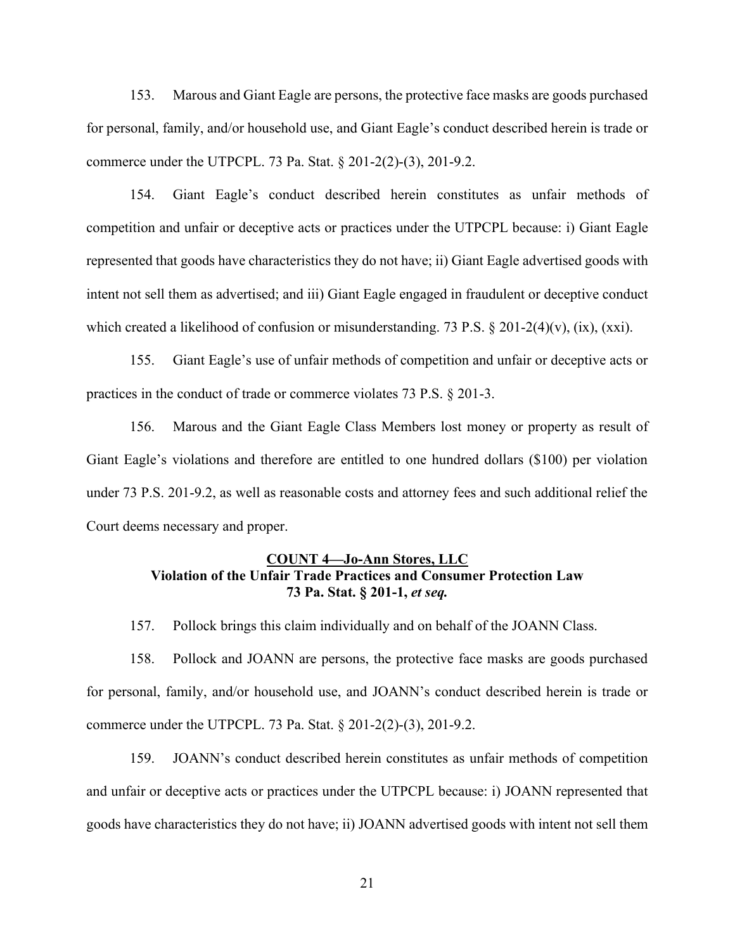153. Marous and Giant Eagle are persons, the protective face masks are goods purchased for personal, family, and/or household use, and Giant Eagle's conduct described herein is trade or commerce under the UTPCPL. 73 Pa. Stat. § 201-2(2)-(3), 201-9.2.

154. Giant Eagle's conduct described herein constitutes as unfair methods of competition and unfair or deceptive acts or practices under the UTPCPL because: i) Giant Eagle represented that goods have characteristics they do not have; ii) Giant Eagle advertised goods with intent not sell them as advertised; and iii) Giant Eagle engaged in fraudulent or deceptive conduct which created a likelihood of confusion or misunderstanding. 73 P.S. § 201-2(4)(v), (ix), (xxi).

155. Giant Eagle's use of unfair methods of competition and unfair or deceptive acts or practices in the conduct of trade or commerce violates 73 P.S. § 201-3.

156. Marous and the Giant Eagle Class Members lost money or property as result of Giant Eagle's violations and therefore are entitled to one hundred dollars (\$100) per violation under 73 P.S. 201-9.2, as well as reasonable costs and attorney fees and such additional relief the Court deems necessary and proper.

# **COUNT 4²Jo-Ann Stores, LLC Violation of the Unfair Trade Practices and Consumer Protection Law 73 Pa. Stat. § 201-1,** *et seq.*

157. Pollock brings this claim individually and on behalf of the JOANN Class.

158. Pollock and JOANN are persons, the protective face masks are goods purchased for personal, family, and/or household use, and JOANN's conduct described herein is trade or commerce under the UTPCPL. 73 Pa. Stat. § 201-2(2)-(3), 201-9.2.

159. JOANN's conduct described herein constitutes as unfair methods of competition and unfair or deceptive acts or practices under the UTPCPL because: i) JOANN represented that goods have characteristics they do not have; ii) JOANN advertised goods with intent not sell them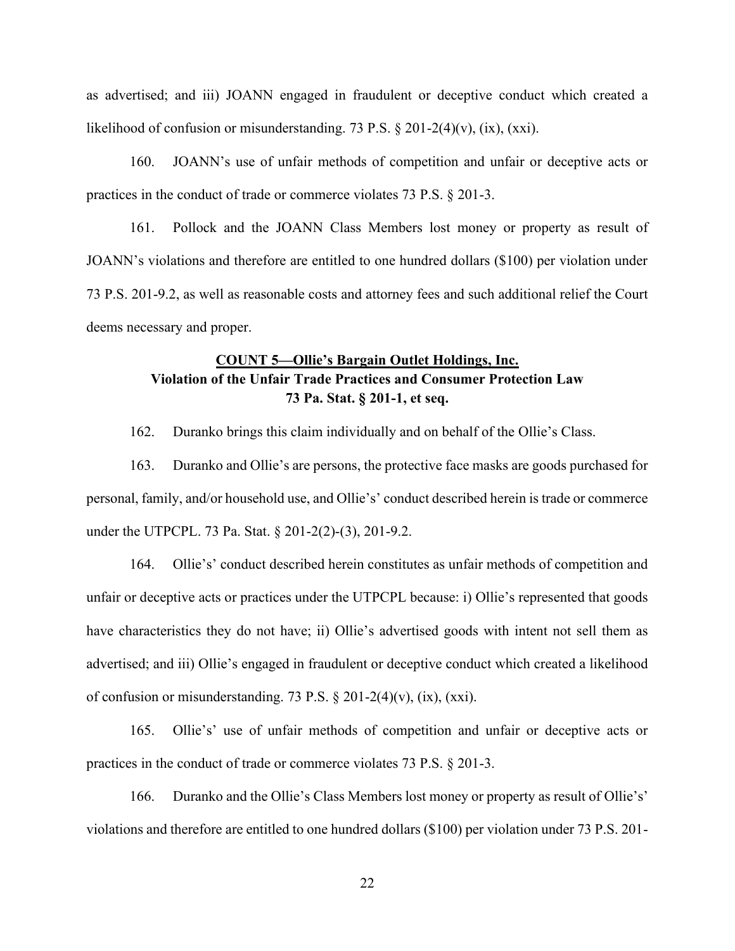as advertised; and iii) JOANN engaged in fraudulent or deceptive conduct which created a likelihood of confusion or misunderstanding. 73 P.S.  $\S 201-2(4)(v)$ , (ix), (xxi).

160. JOANN's use of unfair methods of competition and unfair or deceptive acts or practices in the conduct of trade or commerce violates 73 P.S. § 201-3.

161. Pollock and the JOANN Class Members lost money or property as result of JOANN's violations and therefore are entitled to one hundred dollars (\$100) per violation under 73 P.S. 201-9.2, as well as reasonable costs and attorney fees and such additional relief the Court deems necessary and proper.

# **COUNT 5—Ollie's Bargain Outlet Holdings, Inc. Violation of the Unfair Trade Practices and Consumer Protection Law 73 Pa. Stat. § 201-1, et seq.**

162. Duranko brings this claim individually and on behalf of the Ollie's Class.

163. Duranko and Ollie's are persons, the protective face masks are goods purchased for personal, family, and/or household use, and Ollie's' conduct described herein is trade or commerce under the UTPCPL. 73 Pa. Stat. § 201-2(2)-(3), 201-9.2.

164. Ollie's' conduct described herein constitutes as unfair methods of competition and unfair or deceptive acts or practices under the UTPCPL because: i) Ollie's represented that goods have characteristics they do not have; ii) Ollie's advertised goods with intent not sell them as advertised; and iii) Ollie's engaged in fraudulent or deceptive conduct which created a likelihood of confusion or misunderstanding. 73 P.S.  $\S 201-2(4)(v)$ , (ix), (xxi).

165. Ollie's' use of unfair methods of competition and unfair or deceptive acts or practices in the conduct of trade or commerce violates 73 P.S. § 201-3.

166. Duranko and the Ollie's Class Members lost money or property as result of Ollie's' violations and therefore are entitled to one hundred dollars (\$100) per violation under 73 P.S. 201-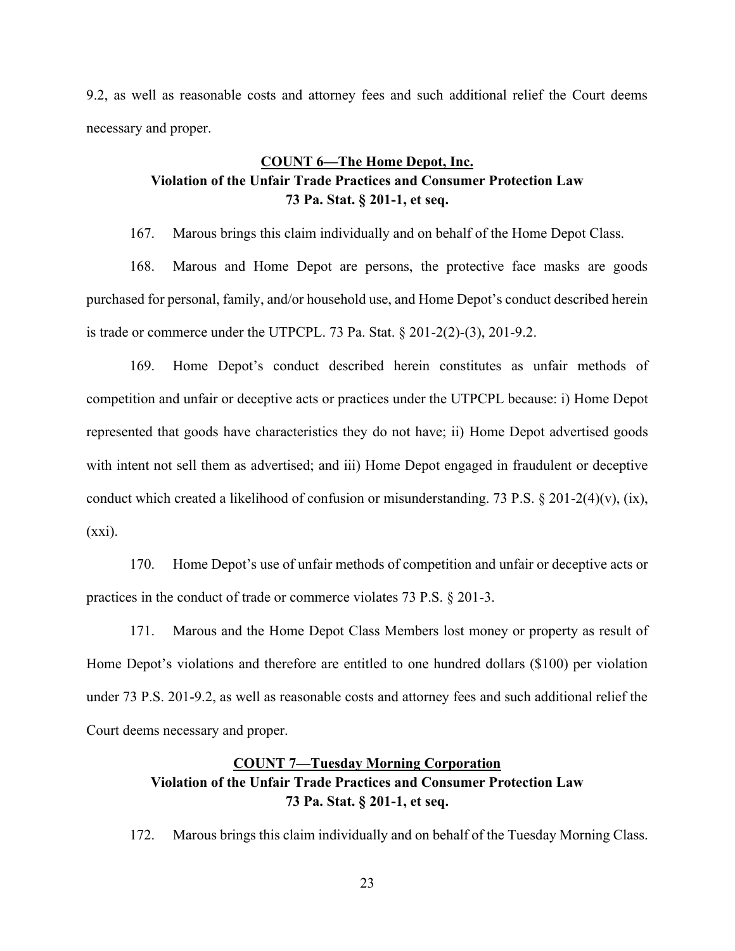9.2, as well as reasonable costs and attorney fees and such additional relief the Court deems necessary and proper.

# **COUNT 6²The Home Depot, Inc. Violation of the Unfair Trade Practices and Consumer Protection Law 73 Pa. Stat. § 201-1, et seq.**

167. Marous brings this claim individually and on behalf of the Home Depot Class.

168. Marous and Home Depot are persons, the protective face masks are goods purchased for personal, family, and/or household use, and Home Depot's conduct described herein is trade or commerce under the UTPCPL. 73 Pa. Stat. § 201-2(2)-(3), 201-9.2.

169. Home Depot's conduct described herein constitutes as unfair methods of competition and unfair or deceptive acts or practices under the UTPCPL because: i) Home Depot represented that goods have characteristics they do not have; ii) Home Depot advertised goods with intent not sell them as advertised; and iii) Home Depot engaged in fraudulent or deceptive conduct which created a likelihood of confusion or misunderstanding. 73 P.S. § 201-2(4)(v), (ix),  $(xxi)$ .

170. Home Depot's use of unfair methods of competition and unfair or deceptive acts or practices in the conduct of trade or commerce violates 73 P.S. § 201-3.

171. Marous and the Home Depot Class Members lost money or property as result of Home Depot's violations and therefore are entitled to one hundred dollars (\$100) per violation under 73 P.S. 201-9.2, as well as reasonable costs and attorney fees and such additional relief the Court deems necessary and proper.

# **COUNT 7²Tuesday Morning Corporation Violation of the Unfair Trade Practices and Consumer Protection Law 73 Pa. Stat. § 201-1, et seq.**

172. Marous brings this claim individually and on behalf of the Tuesday Morning Class.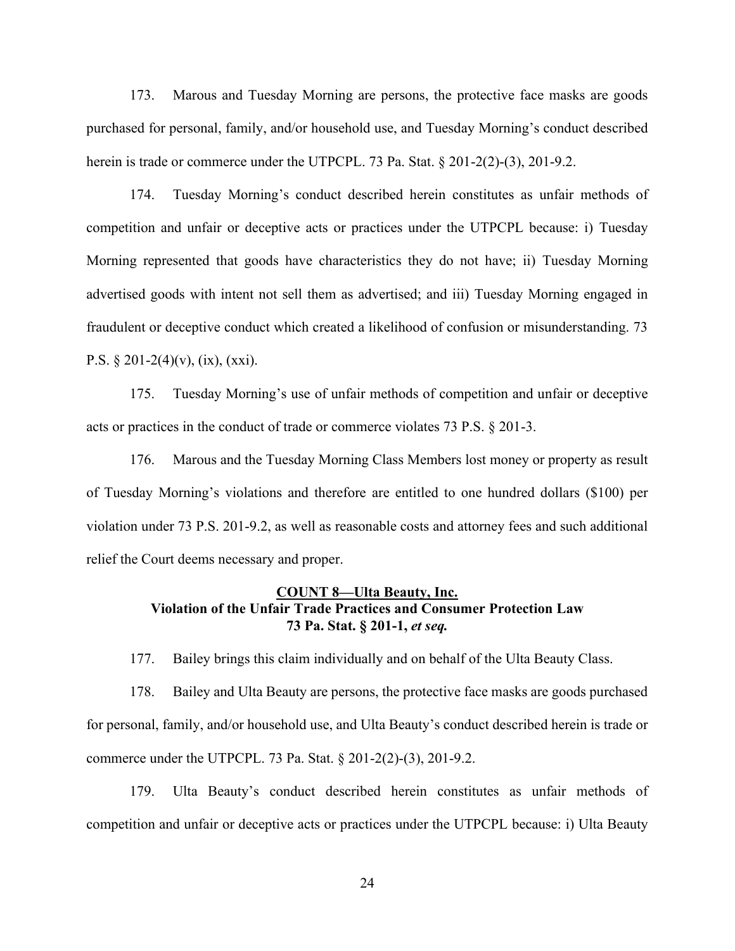173. Marous and Tuesday Morning are persons, the protective face masks are goods purchased for personal, family, and/or household use, and Tuesday Morning's conduct described herein is trade or commerce under the UTPCPL. 73 Pa. Stat. § 201-2(2)-(3), 201-9.2.

174. Tuesday Morning's conduct described herein constitutes as unfair methods of competition and unfair or deceptive acts or practices under the UTPCPL because: i) Tuesday Morning represented that goods have characteristics they do not have; ii) Tuesday Morning advertised goods with intent not sell them as advertised; and iii) Tuesday Morning engaged in fraudulent or deceptive conduct which created a likelihood of confusion or misunderstanding. 73 P.S.  $\S 201-2(4)(v)$ , (ix), (xxi).

175. Tuesday Morning's use of unfair methods of competition and unfair or deceptive acts or practices in the conduct of trade or commerce violates 73 P.S. § 201-3.

176. Marous and the Tuesday Morning Class Members lost money or property as result of Tuesday Morning's violations and therefore are entitled to one hundred dollars  $(\$100)$  per violation under 73 P.S. 201-9.2, as well as reasonable costs and attorney fees and such additional relief the Court deems necessary and proper.

# **COUNT 8²Ulta Beauty, Inc. Violation of the Unfair Trade Practices and Consumer Protection Law 73 Pa. Stat. § 201-1,** *et seq.*

177. Bailey brings this claim individually and on behalf of the Ulta Beauty Class.

178. Bailey and Ulta Beauty are persons, the protective face masks are goods purchased for personal, family, and/or household use, and Ulta Beauty's conduct described herein is trade or commerce under the UTPCPL. 73 Pa. Stat. § 201-2(2)-(3), 201-9.2.

179. Ulta Beauty's conduct described herein constitutes as unfair methods of competition and unfair or deceptive acts or practices under the UTPCPL because: i) Ulta Beauty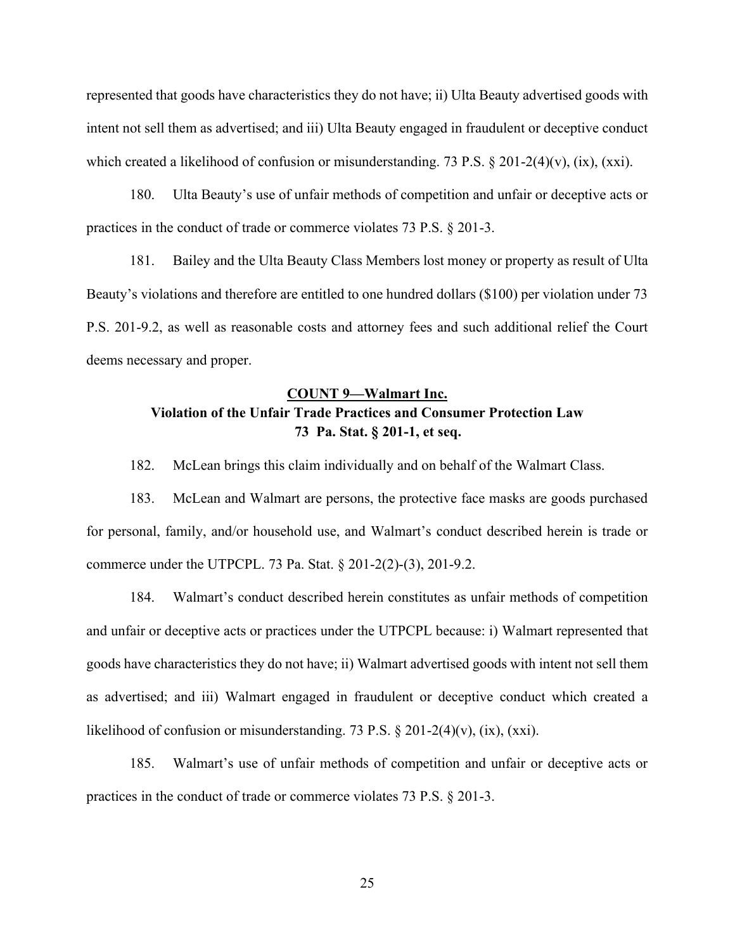represented that goods have characteristics they do not have; ii) Ulta Beauty advertised goods with intent not sell them as advertised; and iii) Ulta Beauty engaged in fraudulent or deceptive conduct which created a likelihood of confusion or misunderstanding. 73 P.S. § 201-2(4)(v), (ix), (xxi).

180. Ulta Beauty's use of unfair methods of competition and unfair or deceptive acts or practices in the conduct of trade or commerce violates 73 P.S. § 201-3.

181. Bailey and the Ulta Beauty Class Members lost money or property as result of Ulta Beauty's violations and therefore are entitled to one hundred dollars ( $$100$ ) per violation under 73 P.S. 201-9.2, as well as reasonable costs and attorney fees and such additional relief the Court deems necessary and proper.

# **COUNT 9²Walmart Inc. Violation of the Unfair Trade Practices and Consumer Protection Law 73 Pa. Stat. § 201-1, et seq.**

182. McLean brings this claim individually and on behalf of the Walmart Class.

183. McLean and Walmart are persons, the protective face masks are goods purchased for personal, family, and/or household use, and Walmart's conduct described herein is trade or commerce under the UTPCPL. 73 Pa. Stat. § 201-2(2)-(3), 201-9.2.

184. Walmart's conduct described herein constitutes as unfair methods of competition and unfair or deceptive acts or practices under the UTPCPL because: i) Walmart represented that goods have characteristics they do not have; ii) Walmart advertised goods with intent not sell them as advertised; and iii) Walmart engaged in fraudulent or deceptive conduct which created a likelihood of confusion or misunderstanding. 73 P.S.  $\S 201-2(4)(v)$ , (ix), (xxi).

185. Walmart's use of unfair methods of competition and unfair or deceptive acts or practices in the conduct of trade or commerce violates 73 P.S. § 201-3.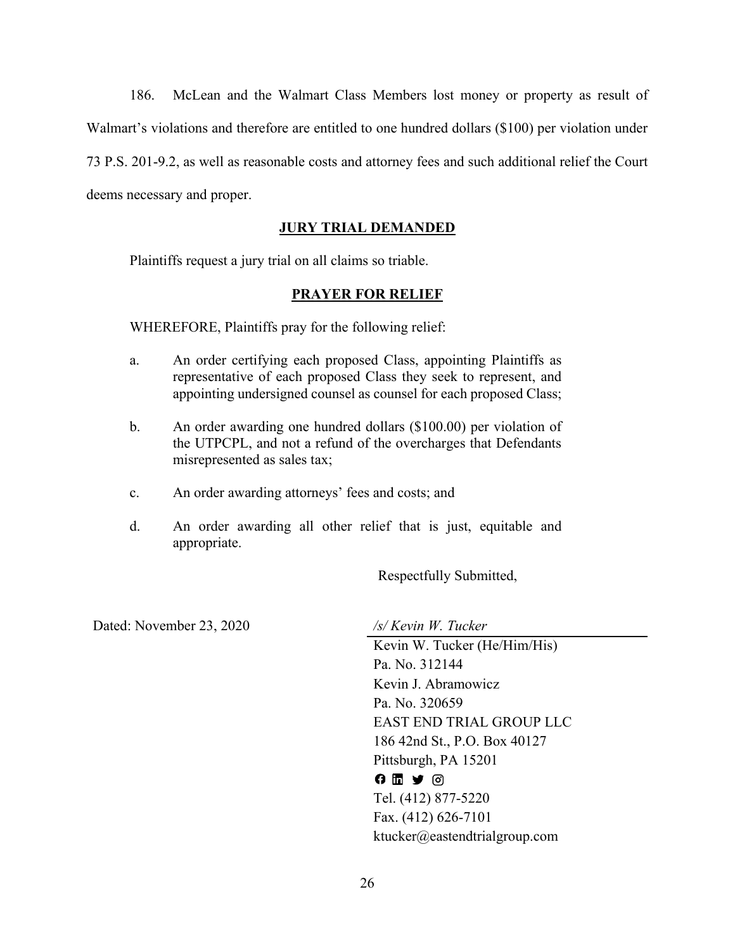186. McLean and the Walmart Class Members lost money or property as result of Walmart's violations and therefore are entitled to one hundred dollars (\$100) per violation under 73 P.S. 201-9.2, as well as reasonable costs and attorney fees and such additional relief the Court deems necessary and proper.

# **JURY TRIAL DEMANDED**

Plaintiffs request a jury trial on all claims so triable.

## **PRAYER FOR RELIEF**

WHEREFORE, Plaintiffs pray for the following relief:

- a. An order certifying each proposed Class, appointing Plaintiffs as representative of each proposed Class they seek to represent, and appointing undersigned counsel as counsel for each proposed Class;
- b. An order awarding one hundred dollars (\$100.00) per violation of the UTPCPL, and not a refund of the overcharges that Defendants misrepresented as sales tax;
- c. An order awarding attorneys' fees and costs; and
- d. An order awarding all other relief that is just, equitable and appropriate.

Respectfully Submitted,

Dated: November 23, 2020 */s/ Kevin W. Tucker*

Kevin W. Tucker (He/Him/His) Pa. No. 312144 Kevin J. Abramowicz Pa. No. 320659 EAST END TRIAL GROUP LLC 186 42nd St., P.O. Box 40127 Pittsburgh, PA 15201  $0 1 3 0$ Tel. (412) 877-5220 Fax. (412) 626-7101 ktucker@eastendtrialgroup.com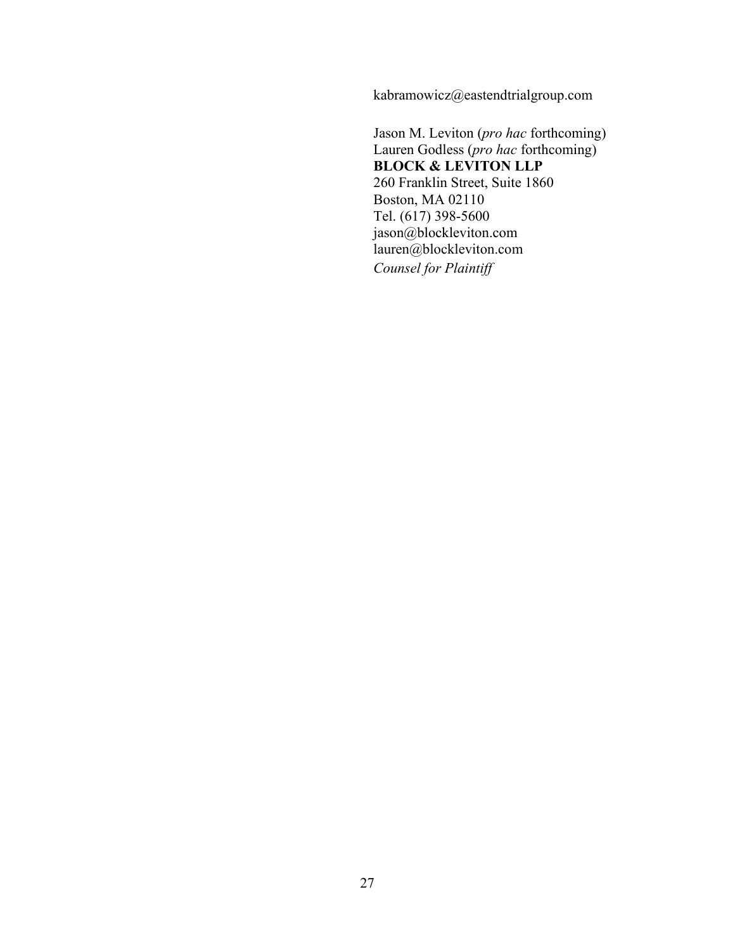kabramowicz@eastendtrialgroup.com

Jason M. Leviton (*pro hac* forthcoming) Lauren Godless (*pro hac* forthcoming) **BLOCK & LEVITON LLP** 260 Franklin Street, Suite 1860 Boston, MA 02110 Tel. (617) 398-5600 jason@blockleviton.com lauren@blockleviton.com *Counsel for Plaintiff*